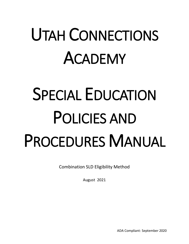## UTAH CONNECTIONS ACADEMY

# SPECIAL EDUCATION POLICIES AND PROCEDURES MANUAL

Combination SLD Eligibility Method

August 2021

ADA Compliant: September 2020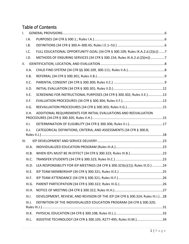## Table of Contents

| I.   |        |                                                                                 |  |
|------|--------|---------------------------------------------------------------------------------|--|
|      | I.A.   |                                                                                 |  |
|      | I.B.   |                                                                                 |  |
|      | 1.C.   | FULL EDUCATIONAL OPPORTUNITY GOAL (34 CFR § 300.109; Rules IX.A.2.d.(2)(c)) 7   |  |
|      | I.D.   | METHODS OF ENSURING SERVICES (34 CFR § 300.154; Rules IX.A.2.d.(2)(m))7         |  |
| II.  |        |                                                                                 |  |
|      | II.A.  |                                                                                 |  |
|      | II.B.  |                                                                                 |  |
|      | II.C.  |                                                                                 |  |
|      | II.D.  |                                                                                 |  |
|      | II.E.  | SCREENING FOR INSTRUCTIONAL PURPOSES (34 CFR § 300.302; Rules II.E.)13          |  |
|      | II.F.  |                                                                                 |  |
|      | II.G.  |                                                                                 |  |
|      | II.H.  | ADDITIONAL REQUIREMENTS FOR INITIAL EVALUATIONS AND REEVALUATION                |  |
|      | II.I.  |                                                                                 |  |
|      |        |                                                                                 |  |
|      | II.J.  | CATEGORICAL DEFINITIONS, CRITERIA, AND ASSESSMENTS (34 CFR § 300.8;             |  |
|      |        |                                                                                 |  |
| III. |        |                                                                                 |  |
|      | III.A. |                                                                                 |  |
|      | III.B. |                                                                                 |  |
|      | III.C. |                                                                                 |  |
|      | III.D. | LEA RESPONSIBILITY FOR IEP MEETINGS (34 CFR § 300.323(c)(1)); Rules III.D.) 24  |  |
|      | III.E. |                                                                                 |  |
|      | III.F. |                                                                                 |  |
|      | III.G. |                                                                                 |  |
|      | III.H. |                                                                                 |  |
|      | III.I. | DEVELOPMENT, REVIEW, AND REVISION OF THE IEP (34 CFR § 300.324; Rules III.I.)28 |  |
|      | III.J. | DEFINITION OF THE INDIVIDUALIZED EDUCATION PROGRAM (34 CFR § 300.320;           |  |
|      | III.K. |                                                                                 |  |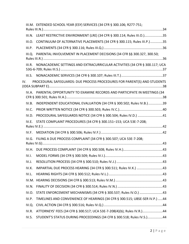|         | III.M. EXTENDED SCHOOL YEAR (ESY) SERVICES (34 CFR § 300.106; R277-751;       |  |
|---------|-------------------------------------------------------------------------------|--|
|         |                                                                               |  |
|         | III.N. LEAST RESTRICTIVE ENVIRONMENT (LRE) (34 CFR § 300.114; Rules III.O.)35 |  |
| III.O.  | CONTINUUM OF ALTERNATIVE PLACEMENTS (34 CFR § 300.115; Rules III.P.)35        |  |
| III.P.  |                                                                               |  |
| III. Q. | PARENTAL INVOLVEMENT IN PLACEMENT DECISIONS (34 CFR §§ 300.327, 300.50;       |  |
|         |                                                                               |  |
| III.R.  | NONACADEMIC SETTINGS AND EXTRACURRICULAR ACTIVITIES (34 CFR § 300.117; UCA    |  |
|         |                                                                               |  |
| IV.     | PROCEDURAL SAFEGUARDS: DUE PROCESS PROCEDURES FOR PARENT(S) AND STUDENTS      |  |
| IV.A.   | PARENTAL OPPORTUNITY TO EXAMINE RECORDS AND PARTICIPATE IN MEETINGS (34       |  |
| IV.B.   | INDEPENDENT EDUCATIONAL EVALUATION (34 CFR § 300.502; Rules IV.B.)39          |  |
| IV.C.   |                                                                               |  |
|         | IV.D. PROCEDURAL SAFEGUARDS NOTICE (34 CFR § 300.504; Rules IV.D.) 41         |  |
| IV.E.   | STATE COMPLAINT PROCEDURES (34 CFR § 300.151-153; UCA 53E-7-208;              |  |
| IV.F.   |                                                                               |  |
| IV.G.   | FILING A DUE PROCESS COMPLAINT (34 CFR § 300.507; UCA 53E-7-208;              |  |
|         |                                                                               |  |
| IV.I.   |                                                                               |  |
| IV.J.   |                                                                               |  |
| IV.K.   | IMPARTIAL DUE PROCESS HEARING (34 CFR § 300.511; Rules IV.K.) 43              |  |
| IV.L.   |                                                                               |  |
|         |                                                                               |  |
| IV.N.   |                                                                               |  |
| IV.O.   | STATE ENFORCEMENT MECHANISMS (34 CFR § 300.537; Rules IV.O.) 43               |  |
| IV.P.   | TIMELINES AND CONVENIENCE OF HEARINGS (34 CFR § 300.515; UBSE-SER IV.P.) 44   |  |
| IV.Q.   |                                                                               |  |
| IV.R.   | ATTORNEYS' FEES (34 CFR § 300.517; UCA 53E-7-208(4)(b); Rules IV.R.)44        |  |
| IV.S.   | STUDENT'S STATUS DURING PROCEEDINGS (34 CFR § 300.518; Rules IV.S.)44         |  |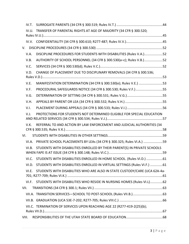|      | IV.T. |                                                                                |  |
|------|-------|--------------------------------------------------------------------------------|--|
|      |       | IV.U. TRANSFER OF PARENTAL RIGHTS AT AGE OF MAJORITY (34 CFR § 300.520;        |  |
|      |       |                                                                                |  |
|      |       |                                                                                |  |
|      |       |                                                                                |  |
|      | V.A.  | DISCIPLINE PROCEDURES FOR STUDENTS WITH DISABILITIES (Rules V.A.)52            |  |
|      | V.B.  | AUTHORITY OF SCHOOL PERSONNEL (34 CFR § 300.530(a-c); Rules V.B.)52            |  |
|      | V.C.  |                                                                                |  |
|      | V.D.  | CHANGE OF PLACEMENT DUE TO DISCIPLINARY REMOVALS (34 CFR § 300.536;            |  |
|      |       |                                                                                |  |
|      | V.E.  | MANIFESTATION DETERMINATION (34 CFR § 300.530(e); Rules V.E.) 53               |  |
|      | V.F.  | PROCEDURAL SAFEGUARDS NOTICE (34 CFR § 300.530; Rules V.F.) 55                 |  |
|      | V.G.  |                                                                                |  |
|      | V.H.  |                                                                                |  |
|      | V.I.  |                                                                                |  |
|      | V.J.  | PROTECTIONS FOR STUDENTS NOT DETERMINED ELIGIBLE FOR SPECIAL EDUCATION         |  |
|      |       |                                                                                |  |
|      |       |                                                                                |  |
|      | V.K.  | REFERRAL TO AND ACTION BY LAW ENFORCEMENT AND JUDICIAL AUTHORITIES (34         |  |
|      |       |                                                                                |  |
| VI.  |       |                                                                                |  |
|      |       | VI.A. PRIVATE SCHOOL PLACEMENTS BY LEAS (34 CFR § 300.325; Rules VI.A.) 59     |  |
|      | VI.B. | STUDENTS WITH DISABILITIES ENROLLED BY THEIR PARENT(S) IN PRIVATE SCHOOLS      |  |
|      |       | VI.C. STUDENTS WITH DISABILITIES ENROLLED IN HOME SCHOOL. (Rules VI.D.) 61     |  |
|      |       | VI.D. STUDENTS WITH DISABILITIES ENROLLED IN VIRTUAL SETTINGS (Rules VI.F.) 61 |  |
|      | VI.E. | STUDENTS WITH DISABILITIES WHO ARE ALSO IN STATE CUSTODY/CARE (UCA 62A-4a-     |  |
|      |       | VI.F. STUDENTS WITH DISABILITIES WHO RESIDE IN NURSING HOMES (Rules VI.L)62    |  |
| VII. |       |                                                                                |  |
|      |       |                                                                                |  |
|      |       |                                                                                |  |
|      |       | VII.C. TERMINATION OF SERVICES UPON REACHING AGE 22 (R277-419-2(25)(b);        |  |
|      |       |                                                                                |  |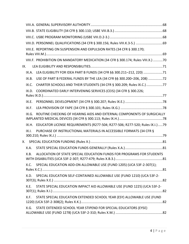|     |       | VIII.E. REPORTING ON SUSPENSION AND EXPULSION RATES (34 CFR § 300.170;            |  |
|-----|-------|-----------------------------------------------------------------------------------|--|
|     |       |                                                                                   |  |
|     |       | VIII.F. PROHIBITION ON MANDATORY MEDICATION (34 CFR § 300.174; Rules VIII.X.) 70  |  |
| IX. |       |                                                                                   |  |
|     |       | IX.A. LEA ELIGIBILITY FOR IDEA PART B FUNDS (34 CFR §§ 300.211-212, 220) 71       |  |
|     | IX.B. | USE OF PART B FEDERAL FUNDS BY THE LEA (34 CFR §§ 300.200-206, 208) 72            |  |
|     | IX.C. | CHARTER SCHOOLS AND THEIR STUDENTS (34 CFR § 300.209; Rules IX.C.) 77             |  |
|     | IX.D. | COORDINATED EARLY INTERVENING SERVICES (CEIS) (34 CFR § 300.226;                  |  |
|     |       |                                                                                   |  |
|     | IX.E. |                                                                                   |  |
|     | IX.F. |                                                                                   |  |
|     | IX.G. | ROUTINE CHECKING OF HEARING AIDS AND EXTERNAL COMPONENTS OF SURGICALLY            |  |
|     |       | IX.H. EDUCATOR LICENSE REQUIREMENTS (R277-504; R277-506; R277-520; Rules IX.I.)79 |  |
|     | IX.1. | PURCHASE OF INSTRUCTIONAL MATERIALS IN ACCESSIBLE FORMATS (34 CFR §               |  |
|     |       |                                                                                   |  |
|     |       |                                                                                   |  |
|     | X.A.  |                                                                                   |  |
|     | X.B.  | ALLOCATION OF STATE SPECIAL EDUCATION FUNDS FOR PROGRAMS FOR STUDENTS             |  |
|     | X.C.  | SPECIAL EDUCATION ADD-ON ALLOWABLE USE (FUND 1205) (UCA 53F-2-307(1);             |  |
|     | X.D.  | SPECIAL EDUCATION SELF-CONTAINED ALLOWABLE USE (FUND 1210) (UCA 53F-2-            |  |
|     | X.E.  | STATE SPECIAL EDUCATION IMPACT AID ALLOWABLE USE (FUND 1225) (UCA 53F-2-          |  |
|     | X.F.  | STATE SPECIAL EDUCATION EXTENDED SCHOOL YEAR (ESY) ALLOWABLE USE (FUND            |  |
|     | X.G.  | STATE EXTENDED SCHOOL YEAR STIPEND FOR SPECIAL EDUCATORS (EYSE)                   |  |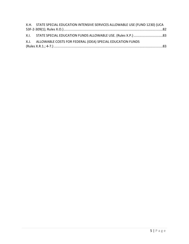<span id="page-5-0"></span>

| X.H. STATE SPECIAL EDUCATION INTENSIVE SERVICES ALLOWABLE USE (FUND 1230) (UCA |
|--------------------------------------------------------------------------------|
|                                                                                |
|                                                                                |
| X.J. ALLOWABLE COSTS FOR FEDERAL (IDEA) SPECIAL EDUCATION FUNDS                |
|                                                                                |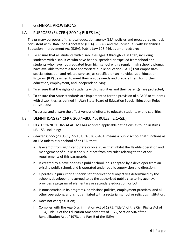## I. GENERAL PROVISIONS

## <span id="page-6-0"></span>I.A. PURPOSES (34 CFR § 300.1.; RULES I.A.)

The primary purposes of this local education agency (LEA) policies and procedures manual, consistent with Utah Code Annotated (UCA) 53E-7-2 and the Individuals with Disabilities Education Improvement Act (IDEA), Public Law 108-446, as amended; are:

- 1. To ensure that all students with disabilities ages 3 through 21 in Utah, including students with disabilities who have been suspended or expelled from school and students who have not graduated from high school with a regular high school diploma, have available to them a free appropriate public education (FAPE) that emphasizes special education and related services, as specified on an Individualized Education Program (IEP) designed to meet their unique needs and prepare them for further education, employment, and independent living;
- 2. To ensure that the rights of students with disabilities and their parent(s) are protected;
- 3. To ensure that State standards are implemented for the provision of a FAPE to students with disabilities, as defined in Utah State Board of Education Special Education Rules (Rules); and
- 4. To assess and ensure the effectiveness of efforts to educate students with disabilities.

## <span id="page-6-1"></span>I.B. DEFINITIONS (34 CFR § 300.4–300.45; RULES I.E.1–53.)

- 1. UTAH CONNECTIONS ACADEMY has adopted applicable definitions as found in Rules I.E.1-53. including:
- 2. *Charter school* (20 USC § 7221i; UCA 53G-5-404) means a public school that functions as an LEA unless it is a school of an LEA, that:
	- a. Is exempt from significant State or local rules that inhibit the flexible operation and management of public schools, but not from any rules relating to the other requirements of this paragraph;
	- b. Is created by a developer as a public school, or is adapted by a developer from an existing public school, and is operated under public supervision and direction;
	- c. Operates in pursuit of a specific set of educational objectives determined by the school's developer and agreed to by the authorized public chartering agency, provides a program of elementary or secondary education, or both;
	- d. Is nonsectarian in its programs, admissions policies, employment practices, and all other operations, and is not affiliated with a sectarian school or religious institution;
	- e. Does not charge tuition;
	- f. Complies with the Age Discrimination Act of 1975, Title VI of the Civil Rights Act of 1964, Title IX of the Education Amendments of 1972, Section 504 of the Rehabilitation Act of 1973, and Part B of the IDEA;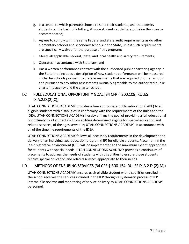- g. Is a school to which parent(s) choose to send their students, and that admits students on the basis of a lottery, if more students apply for admission than can be accommodated;
- h. Agrees to comply with the same Federal and State audit requirements as do other elementary schools and secondary schools in the State, unless such requirements are specifically waived for the purpose of this program;
- i. Meets all applicable Federal, State, and local health and safety requirements;
- j. Operates in accordance with State law; and
- k. Has a written performance contract with the authorized public chartering agency in the State that includes a description of how student performance will be measured in charter schools pursuant to State assessments that are required of other schools and pursuant to any other assessments mutually agreeable to the authorized public chartering agency and the charter school.

## <span id="page-7-0"></span>I.C. FULL EDUCATIONAL OPPORTUNITY GOAL (34 CFR § 300.109; RULES IX.A.2.D.(2)(C))

UTAH CONNECTIONS ACADEMY provides a free appropriate public education (FAPE) to all eligible students with disabilities in conformity with the requirements of the Rules and the IDEA. UTAH CONNECTIONS ACADEMY hereby affirms the goal of providing a full educational opportunity to all students with disabilities determined eligible for special education and related services, of the ages served by UTAH CONNECTIONS ACADEMY, in accordance with all of the timeline requirements of the IDEA.

UTAH CONNECTIONS ACADEMY follows all necessary requirements in the development and delivery of an individualized education program (IEP) for eligible students. Placement in the least restrictive environment (LRE) will be implemented to the maximum extent appropriate for students with special needs. UTAH CONNECTIONS ACADEMY provides a continuum of placements to address the needs of students with disabilities to ensure those students receive special education and related services appropriate to their needs.

## <span id="page-7-1"></span>I.D. METHODS OF ENSURING SERVICES (34 CFR § 300.154; RULES IX.A.2.D.(2)(M))

UTAH CONNECTIONS ACADEMY ensures each eligible student with disabilities enrolled in the school receives the services included in the IEP through a systematic process of IEP internal file reviews and monitoring of service delivery by UTAH CONNECTIONS ACADEMY personnel.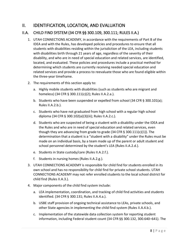## <span id="page-8-0"></span>II. IDENTIFICATION, LOCATION, AND EVALUATION

## <span id="page-8-1"></span>II.A. CHILD FIND SYSTEM (34 CFR §§ 300.109, 300.111; RULES II.A.)

- 1. UTAH CONNECTIONS ACADEMY, in accordance with the requirements of Part B of the IDEA and with the Rules, has developed policies and procedures to ensure that all students with disabilities residing within the jurisdiction of the LEA, including students with disabilities birth through 21 years of age, regardless of the severity of their disability, and who are in need of special education and related services, are identified, located, and evaluated. These policies and procedures include a practical method for determining which students are currently receiving needed special education and related services and provide a process to reevaluate those who are found eligible within the three-year timeframe.
- 2. The requirements of this section apply to:
	- a. Highly mobile students with disabilities (such as students who are migrant and homeless) (34 CFR § 300.111(c)(2); Rules II.A.2.a.).
	- b. Students who have been suspended or expelled from school (34 CFR § 300.101(a); Rules II.A.2.b.).
	- c. Students who have not graduated from high school with a regular high school diploma (34 CFR § 300.102(a)(3)(iii); Rules II.A.2.c.).
	- d. Students who are suspected of being a student with a disability under the IDEA and the Rules and who are in need of special education and related services, even though they are advancing from grade to grade (34 CFR § 300.111(c)(1)). The determination that a student is a "student with a disability" under the Rules must be made on an individual basis, by a team made up of the parent or adult student and school personnel determined by the student's LEA (Rules II.A.2.d.).
	- e. Students in State custody/care (Rules II.A.2.f.).
	- f. Students in nursing homes (Rules II.A.2.g.).
- 3. UTAH CONNECTIONS ACADEMY is responsible for child find for students enrolled in its own school and has no responsibility for child find for private school students. UTAH CONNECTIONS ACADEMY may not refer enrolled students to the local school district for child find (Rules II.A.3.).
- 4. Major components of the child find system include:
	- a. LEA implementation, coordination, and tracking of child find activities and students identified. (34 CFR § 300.131; Rules II.A.4.a.).
	- b. USBE staff provision of ongoing technical assistance to LEAs, private schools, and other State agencies in implementing the child find system (Rules II.A.4.b.).
	- c. Implementation of the statewide data collection system for reporting student information, including Federal student count (34 CFR §§ 300.132, 300.640–641). The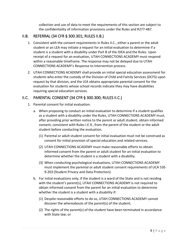collection and use of data to meet the requirements of this section are subject to the confidentiality of information provisions under the Rules and R277-487.

## <span id="page-9-0"></span>II.B. REFERRAL (34 CFR § 300.301; RULES II.B.)

- 1. Consistent with the consent requirements in Rules II.C., either a parent or the adult student or an LEA may initiate a request for an initial evaluation to determine if a student is a student with a disability under Part B of the IDEA and the Rules. Upon receipt of a request for an evaluation, UTAH CONNECTIONS ACADEMY must respond within a reasonable timeframe. The response may not be delayed due to UTAH CONNECTIONS ACADEMY's Response to Intervention process.
- 2. UTAH CONNECTIONS ACADEMY shall provide an initial special education assessment for students who enter the custody of the Division of Child and Family Services (DCFS) upon request by that division, and the LEA obtains appropriate parental consent for the evaluation for students whose school records indicate they may have disabilities requiring special education services.

## <span id="page-9-1"></span>II.C. PARENTAL CONSENT (34 CFR § 300.300; RULES II.C.)

- 1. Parental consent for initial evaluation.
	- a. When proposing to conduct an initial evaluation to determine if a student qualifies as a student with a disability under the Rules, UTAH CONNECTIONS ACADEMY must, after providing prior written notice to the parent or adult student, obtain informed consent, consistent with Rules I.E.9., from the parent of the student or the adult student before conducting the evaluation.
		- (1) Parental or adult student consent for initial evaluation must not be construed as consent for initial provision of special education and related services.
		- (2) UTAH CONNECTIONS ACADEMY must make reasonable efforts to obtain informed consent from the parent or adult student for an initial evaluation to determine whether the student is a student with a disability.
		- (3) When conducting psychological evaluations, UTAH CONNECTIONS ACADEMY must implement the parental or adult student consent requirements of UCA 53E-9-203 (Student Privacy and Data Protection).
	- b. For initial evaluations only, if the student is a ward of the State and is not residing with the student's parent(s), UTAH CONNECTIONS ACADEMY is not required to obtain informed consent from the parent for an initial evaluation to determine whether the student is a student with a disability if:
		- (1) Despite reasonable efforts to do so, UTAH CONNECTIONS ACADEMY cannot discover the whereabouts of the parent(s) of the student;
		- (2) The rights of the parent(s) of the student have been terminated in accordance with State law; or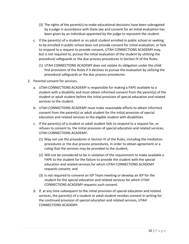- (3) The rights of the parent(s) to make educational decisions have been subrogated by a judge in accordance with State law and consent for an initial evaluation has been given by an individual appointed by the judge to represent the student.
- c. If the parent(s) of a student or an adult student enrolled in public school or seeking to be enrolled in public school does not provide consent for initial evaluation, or fails to respond to a request to provide consent, UTAH CONNECTIONS ACADEMY may, but is not required to, pursue the initial evaluation of the student by utilizing the procedural safeguards or the due process procedures in Section IV of the Rules.
	- (1) UTAH CONNECTIONS ACADEMY does not violate its obligation under the child find provisions of the Rules if it declines to pursue the evaluation by utilizing the procedural safeguards or the due process procedures.
- 2. Parental consent for services.
	- a. UTAH CONNECTIONS ACADEMY is responsible for making a FAPE available to a student with a disability and must obtain informed consent from the parent(s) of the student or adult student before the initial provision of special education and related services to the student.
	- b. UTAH CONNECTIONS ACADEMY must make reasonable efforts to obtain informed consent from the parent(s) or adult student for the initial provision of special education and related services to the eligible student with disabilities.
	- c. If the parent(s) of a student or adult student fails to respond to a request for, or refuses to consent to, the initial provision of special education and related services, UTAH CONNECTIONS ACADEMY:
		- (1) May not use the procedures in Section IV of the Rules, including the mediation procedures or the due process procedures, in order to obtain agreement or a ruling that the services may be provided to the student;
		- (2) Will not be considered to be in violation of the requirement to make available a FAPE to the student for the failure to provide the student with the special education and related services for which UTAH CONNECTIONS ACADEMY requests consent; and
		- (3) Is not required to convene an IEP Team meeting or develop an IEP for the student for the special education and related services for which UTAH CONNECTIONS ACADEMY requests such consent.
	- d. If, at any time subsequent to the initial provision of special education and related services, the parent(s) of a student or adult student revokes consent in writing for the continued provision of special education and related services, UTAH CONNECTIONS ACADEMY: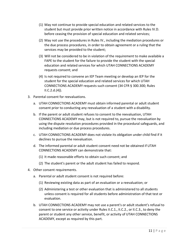- (1) May not continue to provide special education and related services to the student but must provide prior written notice in accordance with Rules IV.D. before ceasing the provision of special education and related services;
- (2) May not use the procedures in Rules IV., including the mediation procedures or the due process procedures, in order to obtain agreement or a ruling that the services may be provided to the student;
- (3) Will not be considered to be in violation of the requirement to make available a FAPE to the student for the failure to provide the student with the special education and related services for which UTAH CONNECTIONS ACADEMY requests consent; and
- (4) Is not required to convene an IEP Team meeting or develop an IEP for the student for the special education and related services for which UTAH CONNECTIONS ACADEMY requests such consent (34 CFR § 300.300; Rules  $ILC.2.d.(4)$ .
- 3. Parental consent for reevaluations.
	- a. UTAH CONNECTIONS ACADEMY must obtain informed parental or adult student consent prior to conducting any reevaluation of a student with a disability.
	- b. If the parent or adult student refuses to consent to the reevaluation, UTAH CONNECTIONS ACADEMY may, but is not required to, pursue the reevaluation by using the dispute resolution procedures provided in the procedural safeguards, and including mediation or due process procedures.
	- c. UTAH CONNECTIONS ACADEMY does not violate its obligation under child find if it declines to pursue the reevaluation.
	- d. The informed parental or adult student consent need not be obtained if UTAH CONNECTIONS ACADEMY can demonstrate that:
		- (1) It made reasonable efforts to obtain such consent; and
		- (2) The student's parent or the adult student has failed to respond.
- 4. Other consent requirements.
	- a. Parental or adult student consent is not required before:
		- (1) Reviewing existing data as part of an evaluation or a reevaluation; or
		- (2) Administering a test or other evaluation that is administered to all students unless consent is required for all students before administration of that test or evaluation.
	- b. UTAH CONNECTIONS ACADEMY may not use a parent's or adult student's refusal to consent to one service or activity under Rules II.C.1., II.C.2., or II.C.3., to deny the parent or student any other service, benefit, or activity of UTAH CONNECTIONS ACADEMY, except as required by this part.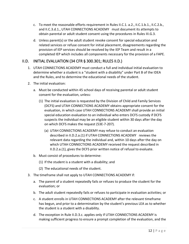- c. To meet the reasonable efforts requirement in Rules II.C.1. a.2., II.C.1.b.1., II.C.2.b., and II.C.3.d.1., UTAH CONNECTIONS ACADEMY must document its attempts to obtain parental or adult student consent using the procedures in Rules III.G.3.
- d. Unless parent(s) or the adult student revoke consent for special education and related services or refuse consent for initial placement, disagreements regarding the provision of IEP services should be resolved by the IEP Team and result in a completed IEP which includes all components necessary for the provision of a FAPE.

## <span id="page-12-0"></span>II.D. INITIAL EVALUATION (34 CFR § 300.301; RULES II.D.)

- 1. UTAH CONNECTIONS ACADEMY must conduct a full and individual initial evaluation to determine whether a student is a "student with a disability" under Part B of the IDEA and the Rules, and to determine the educational needs of the student.
- 2. The initial evaluation:
	- a. Must be conducted within 45 school days of receiving parental or adult student consent for the evaluation, unless:
		- (1) The initial evaluation is requested by the Division of Child and Family Services (DCFS) and UTAH CONNECTIONS ACADEMY obtains appropriate consent for the evaluation, in which case UTAH CONNECTIONS ACADEMY shall provide an initial special education evaluation to an individual who enters DCFS custody if DCFS suspects the individual may be an eligible student within 30 days after the day on which DCFS makes the request (53E-7-207).
			- (a) UTAH CONNECTIONS ACADEMY may refuse to conduct an evaluation described in II.D.2.a.(1) if UTAH CONNECTIONS ACADEMY reviews the relevant data regarding the individual and, within 10 days after the day on which UTAH CONNECTIONS ACADEMY received the request described in II.D.2.a.(1), gives the DCFS prior written notice of refusal to evaluate.
	- b. Must consist of procedures to determine:
		- (1) If the student is a student with a disability; and
		- (2) The educational needs of the student.
- 3. The timeframe shall not apply to UTAH CONNECTIONS ACADEMY if:
	- a. The parent of a student repeatedly fails or refuses to produce the student for the evaluation; or
	- b. The adult student repeatedly fails or refuses to participate in evaluation activities; or
	- c. A student enrolls in UTAH CONNECTIONS ACADEMY after the relevant timeframe has begun, and prior to a determination by the student's previous LEA as to whether the student is a student with a disability.
	- d. The exception in Rule II.D.3.c. applies only if UTAH CONNECTIONS ACADEMY is making sufficient progress to ensure a prompt completion of the evaluation, and the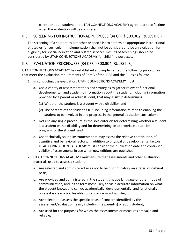parent or adult student and UTAH CONNECTIONS ACADEMY agree to a specific time when the evaluation will be completed.

## <span id="page-13-0"></span>II.E. SCREENING FOR INSTRUCTIONAL PURPOSES (34 CFR § 300.302; RULES II.E.)

The screening of a student by a teacher or specialist to determine appropriate instructional strategies for curriculum implementation shall not be considered to be an evaluation for eligibility for special education and related services. Results of screenings should be considered by UTAH CONNECTIONS ACADEMY for child find purposes.

## <span id="page-13-1"></span>II.F. EVALUATION PROCEDURES (34 CFR § 300.304; RULES II.F.)

UTAH CONNECTIONS ACADEMY has established and implemented the following procedures that meet the evaluation requirements of Part B of the IDEA and the Rules as follows:

- 1. In conducting the evaluation, UTAH CONNECTIONS ACADEMY must:
	- a. Use a variety of assessment tools and strategies to gather relevant functional, developmental, and academic information about the student, including information provided by a parent or adult student, that may assist in determining:
		- (1) Whether the student is a student with a disability; and
		- (2) The content of the student's IEP, including information related to enabling the student to be involved in and progress in the general education curriculum;
	- b. Not use any single procedure as the sole criterion for determining whether a student is a student with a disability and for determining an appropriate educational program for the student; and
	- c. Use technically sound instruments that may assess the relative contribution of cognitive and behavioral factors, in addition to physical or developmental factors. UTAH CONNECTIONS ACADEMY must consider the publication date and continued validity of assessments in use when new editions are published.
- 2. UTAH CONNECTIONS ACADEMY must ensure that assessments and other evaluation materials used to assess a student:
	- a. Are selected and administered so as not to be discriminatory on a racial or cultural basis;
	- b. Are provided and administered in the student's native language or other mode of communication, and in the form most likely to yield accurate information on what the student knows and can do academically, developmentally, and functionally, unless it is clearly not feasible to so provide or administer;
	- c. Are selected to assess the specific areas of concern identified by the assessment/evaluation team, including the parent(s) or adult student;
	- d. Are used for the purposes for which the assessments or measures are valid and reliable;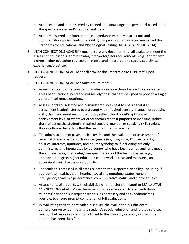- e. Are selected and administered by trained and knowledgeable personnel based upon the specific assessment's requirements; and
- f. Are administered and interpreted in accordance with any instructions and administrator requirements provided by the producer of the assessments and the Standards for Educational and Psychological Testing (AERA, APA, NCME, 2014).
- 3. UTAH CONNECTIONS ACADEMY must ensure and document that all evaluators meet the assessment publishers' administrator/interpreter/user requirements, (e.g., appropriate degree, higher education coursework in tests and measures, and supervised clinical experiences/practice).
- 4. UTAH CONNECTIONS ACADEMY shall provide documentation to USBE staff upon request.
- 5. UTAH CONNECTIONS ACADEMY must ensure that:
	- a. Assessments and other evaluation materials include those tailored to assess specific areas of educational need and not merely those that are designed to provide a single general intelligence quotient.
	- b. Assessments are selected and administered so as best to ensure that if an assessment is administered to a student with impaired sensory, manual, or speaking skills, the assessment results accurately reflect the student's aptitude or achievement level or whatever other factors the test purports to measure, rather than reflecting the student's impaired sensory, manual, or speaking skills (unless those skills are the factors that the test purports to measure).
	- c. The administration of psychological testing and the evaluation or assessment of personal characteristics, such as intelligence (e.g., cognitive, IQ), personality, abilities, interests, aptitudes, and neuropsychological functioning are only administered and interpreted by personnel who have been trained and fully meet the administrator/interpreter/user qualifications of the test publisher (e.g., appropriate degree, higher education coursework in tests and measures, and supervised clinical experiences/practica).
	- d. The student is assessed in all areas related to the suspected disability, including, if appropriate, health, vision, hearing, social and emotional status, general intelligence, academic performance, communicative status, and motor abilities.
	- e. Assessments of students with disabilities who transfer from another LEA to UTAH CONNECTIONS ACADEMY in the same school year are coordinated with those students' prior and subsequent schools, as necessary and as expeditiously as possible, to ensure prompt completion of full evaluations.
	- f. In evaluating each student with a disability, the evaluation is sufficiently comprehensive to identify all the student's special education and related services needs, whether or not commonly linked to the disability category in which the student has been classified.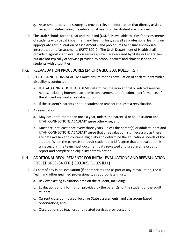- g. Assessment tools and strategies provide relevant information that directly assists persons in determining the educational needs of the student are provided.
- 6. The Utah Schools for the Deaf and the Blind (USDB) is available to LEAs for assessments of students with visual impairment and hearing loss, as well as professional learning on appropriate administration of assessments, and procedures to ensure appropriate interpretation of assessments (R277-800-7). The Utah Department of Health shall provide diagnostic and evaluation services, which are required by State or Federal law but are not typically otherwise provided by school districts and charter schools, to students with disabilities.

#### <span id="page-15-0"></span>II.G. REEVALUATION PROCEDURES (34 CFR § 300.303; RULES II.G.)

- 1. UTAH CONNECTIONS ACADEMY must ensure that a reevaluation of each student with a disability is conducted:
	- a. If UTAH CONNECTIONS ACADEMY determines the educational or related services needs, including improved academic achievement and functional performance, of the student warrant a reevaluation; or
	- b. If the student's parents or adult student or teacher requests a reevaluation.
- 2. A reevaluation:
	- a. May occur not more than once a year, unless the parent(s) or adult student and UTAH CONNECTIONS ACADEMY agree otherwise; and
	- b. Must occur at least once every three years, unless the parent(s) or adult student and UTAH CONNECTIONS ACADEMY agree that a reevaluation is unnecessary as there are data available to continue eligibility and determine the educational needs of the student. When the parent(s) or adult student and LEA agree that a reevaluation is unnecessary, the team must document data reviewed and used in an evaluation report and complete an eligibility determination.

## <span id="page-15-1"></span>II.H. ADDITIONAL REQUIREMENTS FOR INITIAL EVALUATIONS AND REEVALUATION PROCEDURES (34 CFR § 300.305; RULES II.H.)

- 1. As part of any initial evaluation (if appropriate) and as part of any reevaluation, the IEP Team and other qualified professionals, as appropriate, must:
	- a. Review existing evaluation data on the student, including:
	- b. Evaluations and information provided by the parent(s) of the student or the adult student;
	- c. Current classroom-based, local, or State assessments, and classroom-based observations; and
	- d. Observations by teachers and related services providers; and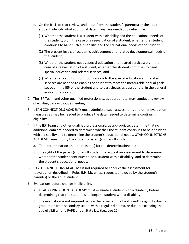- e. On the basis of that review, and input from the student's parent(s) or the adult student, identify what additional data, if any, are needed to determine:
	- (1) Whether the student is a student with a disability and the educational needs of the student; or, in the case of a reevaluation of a student, whether the student continues to have such a disability, and the educational needs of the student;
	- (2) The present levels of academic achievement and related developmental needs of the student;
	- (3) Whether the student needs special education and related services; or, in the case of a reevaluation of a student, whether the student continues to need special education and related services; and
	- (4) Whether any additions or modifications to the special education and related services are needed to enable the student to meet the measurable annual goals set out in the IEP of the student and to participate, as appropriate, in the general education curriculum.
- 2. The IEP Team and other qualified professionals, as appropriate, may conduct its review of existing data without a meeting.
- 3. UTAH CONNECTIONS ACADEMY must administer such assessments and other evaluation measures as may be needed to produce the data needed to determine continuing eligibility.
- 4. If the IEP Team and other qualified professionals, as appropriate, determine that no additional data are needed to determine whether the student continues to be a student with a disability and to determine the student's educational needs, UTAH CONNECTIONS ACADEMY must notify the student's parent(s) or adult student of:
	- a. That determination and the reason(s) for the determination; and
	- b. The right of the parent(s) or adult student to request an assessment to determine whether the student continues to be a student with a disability, and to determine the student's educational needs.
- 5. UTAH CONNECTIONS ACADEMY is not required to conduct the assessment for reevaluation described in Rules II.H.4.b. unless requested to do so by the student's parent(s) or the adult student.
- 6. Evaluations before change in eligibility.
	- a. UTAH CONNECTIONS ACADEMY must evaluate a student with a disability before determining that the student is no longer a student with a disability.
	- b. The evaluation is not required before the termination of a student's eligibility due to graduation from secondary school with a regular diploma, or due to exceeding the age eligibility for a FAPE under State law (i.e., age 22).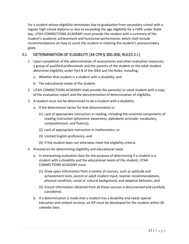For a student whose eligibility terminates due to graduation from secondary school with a regular high school diploma or due to exceeding the age eligibility for a FAPE under State law, UTAH CONNECTIONS ACADEMY must provide the student with a summary of the student's academic achievement and functional performance, which shall include recommendations on how to assist the student in meeting the student's postsecondary goals.

## <span id="page-17-0"></span>II.I. DETERMINATION OF ELIGIBILITY (34 CFR § 300.306; RULES II.I.)

- 1. Upon completion of the administration of assessments and other evaluation measures, a group of qualified professionals and the parents of the student or the adult student determine eligibility under Part B of the IDEA and the Rules, including:
	- a. Whether that student is a student with a disability, and
	- b. The educational needs of the student.
- 2. UTAH CONNECTIONS ACADEMY shall provide the parent(s) or adult student with a copy of the evaluation report and the documentation of determination of eligibility.
- 3. A student must not be determined to be a student with a disability:
	- a. If the determinant factor for that determination is:
		- (1) Lack of appropriate instruction in reading, including the essential components of reading instruction (phonemic awareness, alphabetic principle, vocabulary, comprehension, and fluency);
		- (2) Lack of appropriate instruction in mathematics; or
		- (3) Limited English proficiency; and
		- (4) If the student does not otherwise meet the eligibility criteria.
- 4. Procedures for determining eligibility and educational need.
	- a. In interpreting evaluation data for the purpose of determining if a student is a student with a disability and the educational needs of the student, UTAH CONNECTIONS ACADEMY must:
		- (1) Draw upon information from a variety of sources, such as aptitude and achievement tests, parent or adult student input, teacher recommendations, physical condition, social or cultural background, and adaptive behavior; and
		- (2) Ensure information obtained from all these sources is documented and carefully considered.
	- b. If a determination is made that a student has a disability and needs special education and related services, an IEP must be developed for the student within 30 calendar days.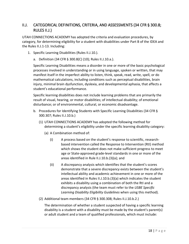## <span id="page-18-0"></span>II.J. CATEGORICAL DEFINITIONS, CRITERIA, AND ASSESSMENTS (34 CFR § 300.8; RULES II.J.)

UTAH CONNECTIONS ACADEMY has adopted the criteria and evaluation procedures, by category, for determining eligibility for a student with disabilities under Part B of the IDEA and the Rules II.J.1-13. Including:

- 1. Specific Learning Disabilities (Rules II.J.10.).
	- a. Definition (34 CFR § 300.8(C) (10); Rules II.J.10.a.).

Specific Learning Disabilities means a disorder in one or more of the basic psychological processes involved in understanding or in using language, spoken or written, that may manifest itself in the imperfect ability to listen, think, speak, read, write, spell, or do mathematical calculations, including conditions such as perceptual disabilities, brain injury, minimal brain dysfunction, dyslexia, and developmental aphasia, that affects a student's educational performance.

Specific learning disabilities does not include learning problems that are primarily the result of visual, hearing, or motor disabilities; of intellectual disability; of emotional disturbance; or of environmental, cultural, or economic disadvantage.

- b. Procedures for Identifying Students with Specific Learning Disabilities (34 CFR § 300.307; Rules II.J.10.b.)
	- (1) UTAH CONNECTIONS ACADEMY has adopted the following method for determining a student's eligibility under the specific learning disability category:
		- (a) A Combination method of:
			- (i) A process based on the student's response to scientific, researchbased intervention called the Response to Intervention (RtI) method which shows the student does not make sufficient progress to meet age or State-approved grade-level standards in one or more of the areas identified in Rule II.J.10.b.(3)(a); and
			- (ii) A discrepancy analysis which identifies that the student's scores demonstrate that a severe discrepancy exists between the student's intellectual ability and academic achievement in one or more of the areas identified in Rules II.J.10.b.(3)(a) which indicates the student exhibits a disability using a combination of both the RtI and a discrepancy analysis (the team must refer to the *USBE Specific Learning Disability Eligibility Guidelines* when using this method).
	- (2) Additional team members (34 CFR § 300.308; Rules II.J.10.b.2.)

The determination of whether a student suspected of having a specific learning disability is a student with a disability must be made by the student's parent(s) or adult student and a team of qualified professionals, which must include: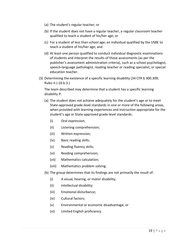- (a) The student's regular teacher; or
- (b) If the student does not have a regular teacher, a regular classroom teacher qualified to teach a student of his/her age; or
- (c) For a student of less than school age; an individual qualified by the USBE to teach a student of his/her age; and
- (d) At least one person qualified to conduct individual diagnostic examinations of students and interpret the results of those assessments (as per the publisher's assessment administration criteria), such as a school psychologist, speech-language pathologist, reading teacher or reading specialist, or special education teacher.
- (3) Determining the existence of a specific learning disability (34 CFR § 300.309; Rules II.J.10.b.3.)

The team described may determine that a student has a specific learning disability if:

- (a) The student does not achieve adequately for the student's age or to meet State-approved grade-level standards in one or more of the following areas, when provided with learning experiences and instruction appropriate for the student's age or State-approved grade-level standards:
	- (i) Oral expression;
	- (ii) Listening comprehension;
	- (iii) Written expression;
	- (iv) Basic reading skills;
	- (v) Reading fluency skills;
	- (vi) Reading comprehension;
	- (vii) Mathematics calculation;
	- (viii) Mathematics problem solving.
- (b) The group determines that its findings are not primarily the result of:
	- (i) A visual, hearing, or motor disability;
	- (ii) Intellectual disability;
	- (iii) Emotional disturbance;
	- (iv) Cultural factors;
	- (v) Environmental or economic disadvantage; or
	- (vi) Limited English proficiency.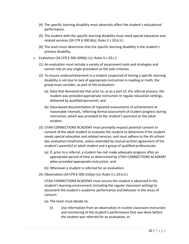- (4) The specific learning disability must adversely affect the student's educational performance.
- (5) The student with the specific learning disability must need special education and related services (34 CFR § 300.8(a); Rules II.J.10.b.5.)
- (6) The team must determine that the specific learning disability is the student's primary disability.
- c. Evaluation (34 CFR § 300.309(b)–(c); Rules II.J.10.c.)
	- (1) An evaluation must include a variety of assessment tools and strategies and cannot rely on any single procedure as the sole criterion.
	- (2) To ensure underachievement in a student suspected of having a specific learning disability is not due to lack of appropriate instruction in reading or math, the group must consider, as part of the evaluation:
		- (a) Data that demonstrate that prior to, or as a part of, the referral process, the student was provided appropriate instruction in regular education settings, delivered by qualified personnel; and
		- (b) Data-based documentation of repeated assessments of achievement at reasonable intervals, reflecting formal assessment of student progress during instruction, which was provided to the student's parent(s) or the adult student.
	- (3) UTAH CONNECTIONS ACADEMY must promptly request parental consent or consent of the adult student to evaluate the student to determine if the student needs special education and related services, and must adhere to the 45-schoolday evaluation timeframe, unless extended by mutual written agreement of the student's parent(s) or adult student and a group of qualified professionals:
		- (a) If, prior to a referral, a student has not made adequate progress after an appropriate period of time as determined by UTAH CONNECTIONS ACADEMY when provided appropriate instruction, and
		- (b) Whenever a student is referred for an evaluation.
	- (4) Observation (34 CFR § 300.310(a)–(c); Rules II.J.10.b.4.)

UTAH CONNECTIONS ACADEMY must ensure the student is observed in the student's learning environment (including the regular classroom setting) to document the student's academic performance and behavior in the areas of concern.

- (a) The team must decide to:
	- (i) Use information from an observation in routine classroom instruction and monitoring of the student's performance that was done before the student was referred for an evaluation; or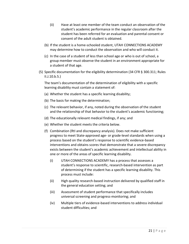- (ii) Have at least one member of the team conduct an observation of the student's academic performance in the regular classroom after the student has been referred for an evaluation and parental consent or consent of the adult student is obtained.
- (b) If the student is a home-schooled student, UTAH CONNECTIONS ACADEMY may determine how to conduct the observation and who will conduct it.
- (c) In the case of a student of less than school age or who is out of school, a group member must observe the student in an environment appropriate for a student of that age.
- (5) Specific documentation for the eligibility determination (34 CFR § 300.311; Rules II.J.10.b.5.)

The team's documentation of the determination of eligibility with a specific learning disability must contain a statement of:

- (a) Whether the student has a specific learning disability;
- (b) The basis for making the determination;
- (c) The relevant behavior, if any, noted during the observation of the student and the relationship of that behavior to the student's academic functioning;
- (d) The educationally relevant medical findings, if any; and
- (e) Whether the student meets the criteria below.
- (f) Combination (RtI and discrepancy analysis). Does not make sufficient progress to meet State-approved age- or grade-level standards when using a process based on the student's response to scientific evidence-based interventions and obtains scores that demonstrate that a severe discrepancy exists between the student's academic achievement and intellectual ability in one or more of the areas of specific learning disability.
	- (i) UTAH CONNECTIONS ACADEMY has a process that assesses a student's response to scientific, research-based intervention as part of determining if the student has a specific learning disability. This process must include:
	- (ii) High quality research-based instruction delivered by qualified staff in the general education setting; and
	- (iii) Assessment of student performance that specifically includes universal screening and progress-monitoring; and
	- (iv) Multiple tiers of evidence-based interventions to address individual student difficulties; and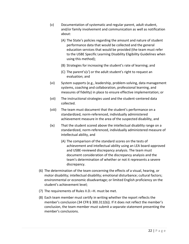- (v) Documentation of systematic and regular parent, adult student, and/or family involvement and communication as well as notification about:
	- (A) The State's policies regarding the amount and nature of student performance data that would be collected and the general education services that would be provided (the team must refer to the USBE Specific Learning Disability Eligibility Guidelines when using this method);
	- (B) Strategies for increasing the student's rate of learning; and
	- (C) The parent's(s') or the adult student's right to request an evaluation; and
- (vi) System supports (e.g., leadership, problem-solving, data management systems, coaching and collaboration, professional learning, and measures of fidelity) in place to ensure effective implementation; or
- (vii) The instructional strategies used and the student-centered data collected.
- (viii) The team must document that the student's performance on a standardized, norm-referenced, individually administered achievement measure in the area of the suspected disability, and
- (ix) That the student scored above the intellectual disability range on a standardized, norm-referenced, individually administered measure of intellectual ability, and
	- (A) The comparison of the standard scores on the tests of achievement and intellectual ability using an LEA board-approved and USBE-reviewed discrepancy analysis. The team must document consideration of the discrepancy analysis and the team's determination of whether or not it represents a severe discrepancy.
- (6) The determination of the team concerning the effects of a visual, hearing, or motor disability; intellectual disability; emotional disturbance; cultural factors; environmental or economic disadvantage; or limited English proficiency on the student's achievement level;
- (7) The requirements of Rules II.D.–H. must be met.
- (8) Each team member must certify in writing whether the report reflects the member's conclusion (34 CFR § 300.311(b)). If it does not reflect the member's conclusion, the team member must submit a separate statement presenting the member's conclusions.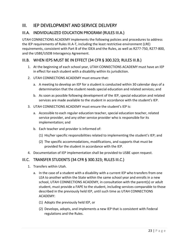## <span id="page-23-0"></span>III. IEP DEVELOPMENT AND SERVICE DELIVERY

## <span id="page-23-1"></span>III.A. INDIVIDUALIZED EDUCATION PROGRAM (RULES III.A.)

UTAH CONNECTIONS ACADEMY implements the following policies and procedures to address the IEP requirements of Rules III.A-T, including the least restrictive environment (LRE) requirements, consistent with Part B of the IDEA and the Rules, as well as R277-750, R277-800, and the USBE/USDB Interagency Agreement.

## <span id="page-23-2"></span>III.B. WHEN IEPS MUST BE IN EFFECT (34 CFR § 300.323; RULES III.B.)

- 1. At the beginning of each school year, UTAH CONNECTIONS ACADEMY must have an IEP in effect for each student with a disability within its jurisdiction.
- 2. UTAH CONNECTIONS ACADEMY must ensure that:
	- a. A meeting to develop an IEP for a student is conducted within 30 calendar days of a determination that the student needs special education and related services; and
	- b. As soon as possible following development of the IEP, special education and related services are made available to the student in accordance with the student's IEP.
- 3. UTAH CONNECTIONS ACADEMY must ensure the student's IEP is:
	- a. Accessible to each regular education teacher, special education teacher, related service provider, and any other service provider who is responsible for its implementation; and
	- b. Each teacher and provider is informed of:
		- (1) His/her specific responsibilities related to implementing the student's IEP; and
		- (2) The specific accommodations, modifications, and supports that must be provided for the student in accordance with the IEP.
- 4. Documentation of IEP implementation shall be provided to USBE upon request.

## <span id="page-23-3"></span>III.C. TRANSFER STUDENTS (34 CFR § 300.323; RULES III.C.)

- 1. Transfers within Utah.
	- a. In the case of a student with a disability with a current IEP who transfers from one LEA to another within the State within the same school year and enrolls in a new school, UTAH CONNECTIONS ACADEMY, in consultation with the parent(s) or adult student, must provide a FAPE to the student, including services comparable to those described in the previously held IEP, until such time as UTAH CONNECTIONS ACADEMY:
		- (1) Adopts the previously held IEP, or
		- (2) Develops, adopts, and implements a new IEP that is consistent with Federal regulations and the Rules.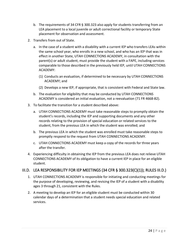- b. The requirements of 34 CFR § 300.323 also apply for students transferring from an LEA placement to a local juvenile or adult correctional facility or temporary State placement for observation and assessment.
- 2. Transfers from out of State.
	- a. In the case of a student with a disability with a current IEP who transfers LEAs within the same school year, who enrolls in a new school, and who has an IEP that was in effect in another State, UTAH CONNECTIONS ACADEMY, in consultation with the parent(s) or adult student, must provide the student with a FAPE, including services comparable to those described in the previously held IEP, until UTAH CONNECTIONS ACADEMY:
		- (1) Conducts an evaluation, if determined to be necessary by UTAH CONNECTIONS ACADEMY; and
		- (2) Develops a new IEP, if appropriate, that is consistent with Federal and State law.
	- b. The evaluation for eligibility that may be conducted by UTAH CONNECTIONS ACADEMY is considered an initial evaluation, not a reevaluation (71 FR 4668-82).
- 3. To facilitate the transition for a student described above:
	- a. UTAH CONNECTIONS ACADEMY must take reasonable steps to promptly obtain the student's records, including the IEP and supporting documents and any other records relating to the provision of special education or related services to the student, from the previous LEA in which the student was enrolled; and
	- b. The previous LEA in which the student was enrolled must take reasonable steps to promptly respond to the request from UTAH CONNECTIONS ACADEMY.
	- c. UTAH CONNECTIONS ACADEMY must keep a copy of the records for three years after the transfer.
- 4. Experiencing difficulty in obtaining the IEP from the previous LEA does not relieve UTAH CONNECTIONS ACADEMY of its obligation to have a current IEP in place for an eligible student.

## <span id="page-24-0"></span>III.D. LEA RESPONSIBILITY FOR IEP MEETINGS (34 CFR § 300.323(C)(1)); RULES III.D.)

- 1. UTAH CONNECTIONS ACADEMY is responsible for initiating and conducting meetings for the purpose of developing, reviewing, and revising the IEP of a student with a disability ages 3 through 21, consistent with the Rules.
- 2. A meeting to develop an IEP for an eligible student must be conducted within 30 calendar days of a determination that a student needs special education and related services.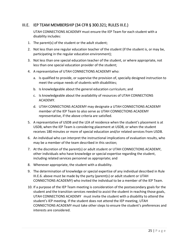## <span id="page-25-0"></span>III.E. IEP TEAM MEMBERSHIP (34 CFR § 300.321; RULES III.E.)

UTAH CONNECTIONS ACADEMY must ensure the IEP Team for each student with a disability includes:

- 1. The parent(s) of the student or the adult student;
- 2. Not less than one regular education teacher of the student (if the student is, or may be, participating in the regular education environment);
- 3. Not less than one special education teacher of the student, or where appropriate, not less than one special education provider of the student;
- 4. A representative of UTAH CONNECTIONS ACADEMY who:
	- a. Is qualified to provide, or supervise the provision of, specially designed instruction to meet the unique needs of students with disabilities;
	- b. Is knowledgeable about the general education curriculum; and
	- c. Is knowledgeable about the availability of resources of UTAH CONNECTIONS ACADEMY.
	- d. UTAH CONNECTIONS ACADEMY may designate a UTAH CONNECTIONS ACADEMY member of the IEP Team to also serve as UTAH CONNECTIONS ACADEMY representative, if the above criteria are satisfied.
- 5. A representative of USDB and the LEA of residence when the student's placement is at USDB, when the IEP Team is considering placement at USDB, or when the student receives 180 minutes or more of special education and/or related services from USDB.
- 6. An individual who can interpret the instructional implications of evaluation results, who may be a member of the team described in this section;
- 7. At the discretion of the parent(s) or adult student or UTAH CONNECTIONS ACADEMY, other individuals who have knowledge or special expertise regarding the student, including related services personnel as appropriate; and
- 8. Whenever appropriate, the student with a disability.
- 9. The determination of knowledge or special expertise of any individual described in Rule III.E.6. above must be made by the party (parent(s) or adult student or UTAH CONNECTIONS ACADEMY) who invited the individual to be a member of the IEP Team.
- 10. If a purpose of the IEP Team meeting is consideration of the postsecondary goals for the student and the transition services needed to assist the student in reaching those goals, UTAH CONNECTIONS ACADEMY must invite the student with a disability to attend the student's IEP meeting. If the student does not attend the IEP meeting, UTAH CONNECTIONS ACADEMY must take other steps to ensure the student's preferences and interests are considered.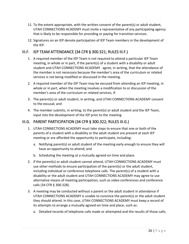- 11. To the extent appropriate, with the written consent of the parent(s) or adult student, UTAH CONNECTIONS ACADEMY must invite a representative of any participating agency that is likely to be responsible for providing or paying for transition services.
- 12. Signatures on an IEP denote participation of IEP Team members in the development of the IEP.

## <span id="page-26-0"></span>III.F. IEP TEAM ATTENDANCE (34 CFR § 300.321; RULES III.F.)

- 1. A required member of the IEP Team is not required to attend a particular IEP Team meeting, in whole or in part, if the parent(s) of a student with a disability or adult student and UTAH CONNECTIONS ACADEMY agree, in writing, that the attendance of the member is not necessary because the member's area of the curriculum or related services is not being modified or discussed in the meeting.
- 2. A required member of the IEP Team may be excused from attending an IEP meeting, in whole or in part, when the meeting involves a modification to or discussion of the member's area of the curriculum or related services, if:
- 3. The parent(s) or adult student, in writing, and UTAH CONNECTIONS ACADEMY consent to the excusal; and
- 4. The member submits, in writing, to the parent(s) or adult student and the IEP Team, input into the development of the IEP prior to the meeting.

## <span id="page-26-1"></span>III.G. PARENT PARTICIPATION (34 CFR § 300.322; RULES III.G.)

- 1. UTAH CONNECTIONS ACADEMY must take steps to ensure that one or both of the parents of a student with a disability or the adult student are present at each IEP meeting or are afforded the opportunity to participate, including:
	- a. Notifying parent(s) or adult student of the meeting early enough to ensure they will have an opportunity to attend; and
	- b. Scheduling the meeting at a mutually agreed-on time and place.
- 2. If the parent(s) or adult student cannot attend, UTAH CONNECTIONS ACADEMY must use other methods to ensure participation of the parent(s) or the adult student, including individual or conference telephone calls. The parent(s) of a student with a disability or the adult student and UTAH CONNECTIONS ACADEMY may agree to use alternative means of meeting participation, such as video conferences and conference calls (34 CFR § 300.328).
- 3. A meeting may be conducted without a parent or the adult student in attendance if UTAH CONNECTIONS ACADEMY is unable to convince the parent(s) or the adult student they should attend. In this case, UTAH CONNECTIONS ACADEMY must keep a record of its attempts to arrange a mutually agreed-on time and place, such as:
	- a. Detailed records of telephone calls made or attempted and the results of those calls;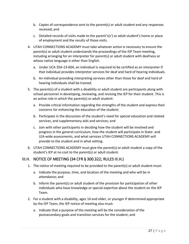- b. Copies of correspondence sent to the parent(s) or adult student and any responses received; and
- c. Detailed records of visits made to the parent's(s') or adult student's home or place of employment and the results of those visits.
- 4. UTAH CONNECTIONS ACADEMY must take whatever action is necessary to ensure the parent(s) or adult student understands the proceedings of the IEP Team meeting, including arranging for an interpreter for parent(s) or adult student with deafness or whose native language is other than English.
	- a. Under UCA 35A-13-604, an individual is required to be certified as an interpreter if that individual provides interpreter services for deaf and hard of hearing individuals.
	- b. An individual providing interpreting services other than those for deaf and hard of hearing individuals shall be trained.
- 5. The parent(s) of a student with a disability or adult student are participants along with school personnel in developing, reviewing, and revising the IEP for their student. This is an active role in which the parent(s) or adult student:
	- a. Provide critical information regarding the strengths of the student and express their concerns for enhancing the education of the student;
	- b. Participate in the discussion of the student's need for special education and related services, and supplementary aids and services; and
	- c. Join with other participants in deciding how the student will be involved and progress in the general curriculum, how the student will participate in State- and LEA-wide assessments, and what services UTAH CONNECTIONS ACADEMY will provide to the student and in what setting.
- 6. UTAH CONNECTIONS ACADEMY must give the parent(s) or adult student a copy of the student's IEP at no cost to the parent(s) or adult student.

## <span id="page-27-0"></span>III.H. NOTICE OF MEETING (34 CFR § 300.322; RULES III.H.)

- 1. The notice of meeting required to be provided to the parent(s) or adult student must:
	- a. Indicate the purpose, time, and location of the meeting and who will be in attendance; and
	- b. Inform the parent(s) or adult student of the provision for participation of other individuals who have knowledge or special expertise about the student on the IEP Team.
- 2. For a student with a disability, ages 14 and older, or younger if determined appropriate by the IEP Team, the IEP notice of meeting also must:
	- a. Indicate that a purpose of the meeting will be the consideration of the postsecondary goals and transition services for the student; and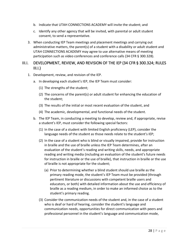- b. Indicate that UTAH CONNECTIONS ACADEMY will invite the student; and
- c. Identify any other agency that will be invited, with parental or adult student consent, to send a representative.
- 3. When conducting IEP Team meetings and placement meetings and carrying out administrative matters, the parent(s) of a student with a disability or adult student and UTAH CONNECTIONS ACADEMY may agree to use alternative means of meeting participation such as video conferences and conference calls (34 CFR § 300.328).

## <span id="page-28-0"></span>III.I. DEVELOPMENT, REVIEW, AND REVISION OF THE IEP (34 CFR § 300.324; RULES  $III.I.$ )

- 1. Development, review, and revision of the IEP.
	- a. In developing each student's IEP, the IEP Team must consider:
		- (1) The strengths of the student;
		- (2) The concerns of the parent(s) or adult student for enhancing the education of the student;
		- (3) The results of the initial or most recent evaluation of the student, and
		- (4) The academic, developmental, and functional needs of the student.
	- b. The IEP Team, in conducting a meeting to develop, review and, if appropriate, revise a student's IEP, must consider the following special factors:
		- (1) In the case of a student with limited English proficiency (LEP), consider the language needs of the student as those needs relate to the student's IEP;
		- (2) In the case of a student who is blind or visually impaired, provide for instruction in braille and the use of braille unless the IEP Team determines, after an evaluation of the student's reading and writing skills, needs, and appropriate reading and writing media (including an evaluation of the student's future needs for instruction in braille or the use of braille), that instruction in braille or the use of braille is not appropriate for the student;
			- (a) Prior to determining whether a blind student should use braille as the primary reading mode, the student's IEP Team must be provided (through pertinent literature or discussions with competent braille users and educators, or both) with detailed information about the use and efficiency of braille as a reading medium, in order to make an informed choice as to the student's primary reading.
		- (3) Consider the communication needs of the student and, in the case of a student who is deaf or hard of hearing, consider the student's language and communication needs, opportunities for direct communication with peers and professional personnel in the student's language and communication mode,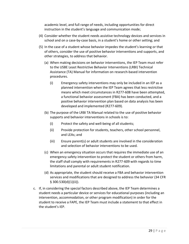academic level, and full range of needs, including opportunities for direct instruction in the student's language and communication mode;

- (4) Consider whether the student needs assistive technology devices and services in school and on a case-by-case basis, in a student's home or other setting; and
- (5) In the case of a student whose behavior impedes the student's learning or that of others, consider the use of positive behavior interventions and supports, and other strategies, to address that behavior.
	- (a) When making decisions on behavior interventions, the IEP Team must refer to the USBE Least Restrictive Behavior Interventions (LRBI) Technical Assistance (TA) Manual for information on research-based intervention procedures.
		- (i) Emergency safety interventions may only be included in an IEP as a planned intervention when the IEP Team agrees that less restrictive means which meet circumstances in R277-608 have been attempted, a functional behavior assessment (FBA) has been conducted, and a positive behavior intervention plan based on data analysis has been developed and implemented (R277-609).
	- (b) The purpose of the LRBI TA Manual related to the use of positive behavior supports and behavior interventions in schools is to:
		- (i) Protect the safety and well-being of all students;
		- (ii) Provide protection for students, teachers, other school personnel, and LEAs; and
		- (iii) Ensure parent(s) or adult students are involved in the consideration and selection of behavior interventions to be used.
	- (c) When an emergency situation occurs that requires the immediate use of an emergency safety intervention to protect the student or others from harm, the staff shall comply with requirements in R277-609 with regards to time limitations and parental or adult student notification.
	- (d) As appropriate, the student should receive a FBA and behavior intervention services and modifications that are designed to address the behavior (34 CFR  $§$  300.530(d)(1)(ii)).
- c. If, in considering the special factors described above, the IEP Team determines a student needs a particular device or services for educational purposes (including an intervention, accommodation, or other program modification) in order for the student to receive a FAPE, the IEP Team must include a statement to that effect in the student's IEP.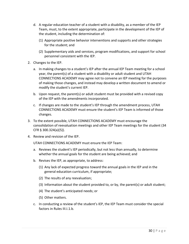- d. A regular education teacher of a student with a disability, as a member of the IEP Team, must, to the extent appropriate, participate in the development of the IEP of the student, including the determination of:
	- (1) Appropriate positive behavior interventions and supports and other strategies for the student; and
	- (2) Supplementary aids and services, program modifications, and support for school personnel consistent with the IEP.
- 2. Changes to the IEP.
	- a. In making changes to a student's IEP after the annual IEP Team meeting for a school year, the parent(s) of a student with a disability or adult student and UTAH CONNECTIONS ACADEMY may agree not to convene an IEP meeting for the purposes of making those changes, and instead may develop a written document to amend or modify the student's current IEP.
	- b. Upon request, the parent(s) or adult student must be provided with a revised copy of the IEP with the amendments incorporated.
	- c. If changes are made to the student's IEP through the amendment process, UTAH CONNECTIONS ACADEMY must ensure the student's IEP Team is informed of those changes.
- 3. To the extent possible, UTAH CONNECTIONS ACADEMY must encourage the consolidation of reevaluation meetings and other IEP Team meetings for the student (34 CFR § 300.324(a)(5)).
- 4. Review and revision of the IEP.

UTAH CONNECTIONS ACADEMY must ensure the IEP Team:

- a. Reviews the student's IEP periodically, but not less than annually, to determine whether the annual goals for the student are being achieved; and
- b. Revises the IEP, as appropriate, to address:
	- (1) Any lack of expected progress toward the annual goals in the IEP and in the general education curriculum, if appropriate;
	- (2) The results of any reevaluation;
	- (3) Information about the student provided to, or by, the parent(s) or adult student;
	- (4) The student's anticipated needs; or
	- (5) Other matters.
- c. In conducting a review of the student's IEP, the IEP Team must consider the special factors in Rules III.I.1.b.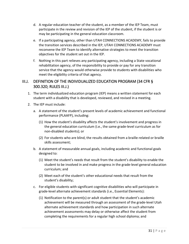- d. A regular education teacher of the student, as a member of the IEP Team, must participate in the review and revision of the IEP of the student, if the student is or may be participating in the general education classroom.
- e. If a participating agency, other than UTAH CONNECTIONS ACADEMY, fails to provide the transition services described in the IEP, UTAH CONNECTIONS ACADEMY must reconvene the IEP Team to identify alternative strategies to meet the transition objectives for the student set out in the IEP.
- f. Nothing in this part relieves any participating agency, including a State vocational rehabilitation agency, of the responsibility to provide or pay for any transition service that the agency would otherwise provide to students with disabilities who meet the eligibility criteria of that agency.

## <span id="page-31-0"></span>III.J. DEFINITION OF THE INDIVIDUALIZED EDUCATION PROGRAM (34 CFR § 300.320; RULES III.J.)

- 1. The term individualized education program (IEP) means a written statement for each student with a disability that is developed, reviewed, and revised in a meeting.
- 2. The IEP must include:
	- a. A statement of the student's present levels of academic achievement and functional performance (PLAAFP), including:
		- (1) How the student's disability affects the student's involvement and progress in the general education curriculum (i.e., the same grade-level curriculum as for non-disabled students); or
		- (2) For students who are blind, the results obtained from a braille-related or braille skills assessment;
	- b. A statement of measurable annual goals, including academic and functional goals designed to:
		- (1) Meet the student's needs that result from the student's disability to enable the student to be involved in and make progress in the grade-level general education curriculum; and
		- (2) Meet each of the student's other educational needs that result from the student's disability;
	- c. For eligible students with significant cognitive disabilities who will participate in grade-level alternate achievement standards (i.e., Essential Elements):
		- (1) Notification to the parent(s) or adult student that the student's academic achievement will be measured through an assessment of the grade-level Utah alternate achievement standards and how participation in such alternate achievement assessments may delay or otherwise affect the student from completing the requirements for a regular high school diploma; and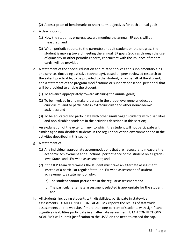- (2) A description of benchmarks or short-term objectives for each annual goal;
- d. A description of:
	- (1) How the student's progress toward meeting the annual IEP goals will be measured; and
	- (2) When periodic reports to the parent(s) or adult student on the progress the student is making toward meeting the annual IEP goals (such as through the use of quarterly or other periodic reports, concurrent with the issuance of report cards) will be provided;
- e. A statement of the special education and related services and supplementary aids and services (including assistive technology), based on peer-reviewed research to the extent practicable, to be provided to the student, or on behalf of the student, and a statement of the program modifications or supports for school personnel that will be provided to enable the student:
	- (1) To advance appropriately toward attaining the annual goals;
	- (2) To be involved in and make progress in the grade-level general education curriculum, and to participate in extracurricular and other nonacademic activities; and
	- (3) To be educated and participate with other similar-aged students with disabilities and non-disabled students in the activities described in this section;
- f. An explanation of the extent, if any, to which the student will not participate with similar-aged non-disabled students in the regular education environment and in the activities described in this section;
- g. A statement of:
	- (1) Any individual appropriate accommodations that are necessary to measure the academic achievement and functional performance of the student on all gradelevel State- and LEA-wide assessments; and
	- (2) If the IEP Team determines the student must take an alternate assessment instead of a particular regular State- or LEA-wide assessment of student achievement, a statement of why:
		- (a) The student cannot participate in the regular assessment; and
		- (b) The particular alternate assessment selected is appropriate for the student; and
- h. All students, including students with disabilities, participate in statewide assessments. UTAH CONNECTIONS ACADEMY reports the results of statewide assessments on the website. If more than one percent of students with significant cognitive disabilities participate in an alternate assessment, UTAH CONNECTIONS ACADEMY will submit justification to the USBE on the need to exceed the cap.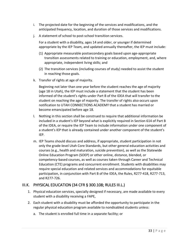- i. The projected date for the beginning of the services and modifications, and the anticipated frequency, location, and duration of those services and modifications.
- j. A statement of school to post-school transition services.

For a student with a disability, ages 14 and older, or younger if determined appropriate by the IEP Team, and updated annually thereafter, the IEP must include:

- (1) Appropriate measurable postsecondary goals based upon age-appropriate transition assessments related to training or education, employment, and, where appropriate, independent living skills; and
- (2) The transition services (including courses of study) needed to assist the student in reaching those goals.
- k. Transfer of rights at age of majority.

Beginning not later than one year before the student reaches the age of majority (age 18 in Utah), the IEP must include a statement that the student has been informed of the student's rights under Part B of the IDEA that will transfer to the student on reaching the age of majority. The transfer of rights also occurs upon notification to UTAH CONNECTIONS ACADEMY that a student has married or become emancipated before age 18.

- l. Nothing in this section shall be construed to require that additional information be included in a student's IEP beyond what is explicitly required in Section 614 of Part B of the IDEA, or require the IEP Team to include information under one component of a student's IEP that is already contained under another component of the student's IEP.
- m. IEP Teams should discuss and address, if appropriate, student participation in not only the grade-level Utah Core Standards, but other general education activities and courses (e.g., health and maturation, suicide prevention), as well as the Statewide Online Education Program (SOEP) or other online, distance, blended, or competency-based courses, as well as courses taken through Career and Technical Education (CTE) programs and concurrent enrollment. Students with disabilities may require special education and related services and accommodations for equitable participation, in conjunction with Part B of the IDEA, the Rules, R277-418, R277-713, and R277-726.

## <span id="page-33-0"></span>III.K. PHYSICAL EDUCATION (34 CFR § 300.108; RULES III.L.)

- 1. Physical education services, specially designed if necessary, are made available to every student with a disability receiving a FAPE,
- 2. Each student with a disability must be afforded the opportunity to participate in the regular physical education program available to nondisabled students unless:
	- a. The student is enrolled full time in a separate facility; or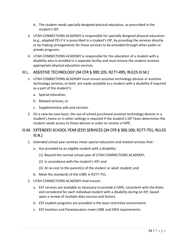- b. The student needs specially designed physical education, as prescribed in the student's IEP.
- 3. UTAH CONNECTIONS ACADEMY is responsible for specially designed physical education (e.g., adapted PE) if it is prescribed in a student's IEP, by providing the services directly or by making arrangements for those services to be provided through other public or private programs.
- 4. UTAH CONNECTIONS ACADEMY is responsible for the education of a student with a disability who is enrolled in a separate facility and must ensure the student receives appropriate physical education services.

## <span id="page-34-0"></span>III.L. ASSISTIVE TECHNOLOGY (34 CFR § 300.105; R277-495; RULES III.M.)

- 1. UTAH CONNECTIONS ACADEMY must ensure assistive technology devices or assistive technology services, or both, are made available to a student with a disability if required as a part of the student's:
	- a. Special education,
	- b. Related services, or
	- c. Supplementary aids and services.
- 2. On a case-by-case basis, the use of school-purchased assistive technology devices in a student's home or in other settings is required if the student's IEP Team determines the student needs access to those devices in order to receive a FAPE.

## <span id="page-34-1"></span>III.M. EXTENDED SCHOOL YEAR (ESY) SERVICES (34 CFR § 300.106; R277-751; RULES  $III.N.$ )

- 1. Extended school year services mean special education and related services that:
	- a. Are provided to an eligible student with a disability:
		- (1) Beyond the normal school year of UTAH CONNECTIONS ACADEMY;
		- (2) In accordance with the student's IEP; and
		- (3) At no cost to the parent(s) of the student or adult student; and
	- b. Meet the standards of the USBE in R277-751.
- 2. UTAH CONNECTIONS ACADEMY shall ensure:
	- a. ESY services are available as necessary to provide a FAPE, consistent with the Rules and considered for each individual student with a disability during an IEP, based upon a review of multiple data sources and factors.
	- b. ESY student programs are provided in the least restrictive environment.
	- c. ESY teachers and Paraeducators meet USBE and IDEA requirements.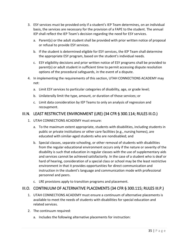- 3. ESY services must be provided only if a student's IEP Team determines, on an individual basis, the services are necessary for the provision of a FAPE to the student. The annual IEP shall reflect the IEP Team's decision regarding the need for ESY services.
	- a. Parent(s) or the adult student shall be provided with prior written notice of proposal or refusal to provide ESY services.
	- b. If the student is determined eligible for ESY services, the IEP Team shall determine the appropriate ESY program, based on the student's individual needs.
	- c. ESY eligibility decisions and prior written notice of ESY programs shall be provided to parent(s) or adult student in sufficient time to permit accessing dispute resolution options of the procedural safeguards, in the event of a dispute.
- 4. In implementing the requirements of this section, UTAH CONNECTIONS ACADEMY may not:
	- a. Limit ESY services to particular categories of disability, age, or grade level;
	- b. Unilaterally limit the type, amount, or duration of those services; or
	- c. Limit data consideration by IEP Teams to only an analysis of regression and recoupment.

## <span id="page-35-0"></span>III.N. LEAST RESTRICTIVE ENVIRONMENT (LRE) (34 CFR § 300.114; RULES III.O.)

- 1. UTAH CONNECTIONS ACADEMY must ensure:
	- a. To the maximum extent appropriate, students with disabilities, including students in public or private institutions or other care facilities (e.g., nursing homes), are educated with similar-aged students who are nondisabled; and
	- b. Special classes, separate schooling, or other removal of students with disabilities from the regular educational environment occurs only if the nature or severity of the disability is such that education in regular classes with the use of supplementary aids and services cannot be achieved satisfactorily. In the case of a student who is deaf or hard of hearing, consideration of a special class or school may be the least restrictive environment in that it provides opportunities for direct communication and instruction in the student's language and communication mode with professional personnel and peers.
	- c. LRE provisions apply to transition programs and placement.

## <span id="page-35-1"></span>III.O. CONTINUUM OF ALTERNATIVE PLACEMENTS (34 CFR § 300.115; RULES III.P.)

- 1. UTAH CONNECTIONS ACADEMY must ensure a continuum of alternative placements is available to meet the needs of students with disabilities for special education and related services.
- 2. The continuum required:
	- a. Includes the following alternative placements for instruction: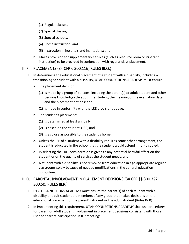- (1) Regular classes,
- (2) Special classes,
- (3) Special schools,
- (4) Home instruction, and
- (5) Instruction in hospitals and institutions; and
- b. Makes provision for supplementary services (such as resource room or itinerant instruction) to be provided in conjunction with regular class placement.

### III.P. PLACEMENTS (34 CFR § 300.116; RULES III.Q.)

- 1. In determining the educational placement of a student with a disability, including a transition-aged student with a disability, UTAH CONNECTIONS ACADEMY must ensure:
	- a. The placement decision:
		- (1) Is made by a group of persons, including the parent(s) or adult student and other persons knowledgeable about the student, the meaning of the evaluation data, and the placement options; and
		- (2) Is made in conformity with the LRE provisions above.
	- b. The student's placement:
		- (1) Is determined at least annually;
		- (2) Is based on the student's IEP; and
		- (3) Is as close as possible to the student's home;
	- c. Unless the IEP of a student with a disability requires some other arrangement, the student is educated in the school that the student would attend if non-disabled;
	- d. In selecting the LRE, consideration is given to any potential harmful effect on the student or on the quality of services the student needs; and
	- e. A student with a disability is not removed from education in age-appropriate regular classrooms solely because of needed modifications in the general education curriculum.

## III.Q. PARENTAL INVOLVEMENT IN PLACEMENT DECISIONS (34 CFR §§ 300.327, 300.50; RULES III.R.)

- 1. UTAH CONNECTIONS ACADEMY must ensure the parent(s) of each student with a disability or adult student are members of any group that makes decisions on the educational placement of the parent's student or the adult student (Rules IV.B).
- 2. In implementing this requirement, UTAH CONNECTIONS ACADEMY shall use procedures for parent or adult student involvement in placement decisions consistent with those used for parent participation in IEP meetings.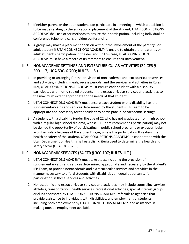- 3. If neither parent or the adult student can participate in a meeting in which a decision is to be made relating to the educational placement of the student, UTAH CONNECTIONS ACADEMY shall use other methods to ensure their participation, including individual or conference telephone calls or video conferencing.
- 4. A group may make a placement decision without the involvement of the parent(s) or adult student if UTAH CONNECTIONS ACADEMY is unable to obtain either parent's or adult student's participation in the decision. In this case, UTAH CONNECTIONS ACADEMY must have a record of its attempts to ensure their involvement.

## III.R. NONACADEMIC SETTINGS AND EXTRACURRICULAR ACTIVITIES (34 CFR § 300.117; UCA 53G-6-709; RULES III.S.)

- 1. In providing or arranging for the provision of nonacademic and extracurricular services and activities, including meals, recess periods, and the services and activities in Rules III.V, UTAH CONNECTIONS ACADEMY must ensure each student with a disability participates with non-disabled students in the extracurricular services and activities to the maximum extent appropriate to the needs of that student.
- 2. UTAH CONNECTIONS ACADEMY must ensure each student with a disability has the supplementary aids and services determined by the student's IEP Team to be appropriate and necessary for the student to participate in nonacademic settings.
- 3. A student with a disability (under the age of 22 who has not graduated from high school with a regular high school diploma, whose IEP Team recommends participation) may not be denied the opportunity of participating in public school programs or extracurricular activities solely because of the student's age, unless the participation threatens the health or safety of the student. UTAH CONNECTIONS ACADEMY, in cooperation with the Utah Department of Health, shall establish criteria used to determine the health and safety factor (UCA 53G-6-709).

## III.S. NONACADEMIC SERVICES (34 CFR § 300.107; RULES III.T.)

- 1. UTAH CONNECTIONS ACADEMY must take steps, including the provision of supplementary aids and services determined appropriate and necessary by the student's IEP Team, to provide nonacademic and extracurricular services and activities in the manner necessary to afford students with disabilities an equal opportunity for participation in those services and activities.
- 2. Nonacademic and extracurricular services and activities may include counseling services, athletics, transportation, health services, recreational activities, special interest groups or clubs sponsored by UTAH CONNECTIONS ACADEMY , referrals to agencies that provide assistance to individuals with disabilities, and employment of students, including both employment by UTAH CONNECTIONS ACADEMY and assistance in making outside employment available.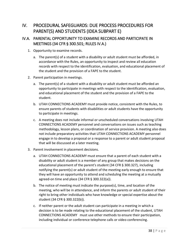# IV. PROCEDURAL SAFEGUARDS: DUE PROCESS PROCEDURES FOR PARENT(S) AND STUDENTS (IDEA SUBPART E)

## IV.A. PARENTAL OPPORTUNITY TO EXAMINE RECORDS AND PARTICIPATE IN MEETINGS (34 CFR § 300.501; RULES IV.A.)

- 1. Opportunity to examine records.
	- a. The parent(s) of a student with a disability or adult student must be afforded, in accordance with the Rules, an opportunity to inspect and review all education records with respect to the identification, evaluation, and educational placement of the student and the provision of a FAPE to the student.
- 2. Parent participation in meetings.
	- a. The parent(s) of a student with a disability or adult student must be afforded an opportunity to participate in meetings with respect to the identification, evaluation, and educational placement of the student and the provision of a FAPE to the student.
	- b. UTAH CONNECTIONS ACADEMY must provide notice, consistent with the Rules, to ensure parents of students with disabilities or adult students have the opportunity to participate in meetings.
	- c. A meeting does not include informal or unscheduled conversations involving UTAH CONNECTIONS ACADEMY personnel and conversations on issues such as teaching methodology, lesson plans, or coordination of service provision. A meeting also does not include preparatory activities that UTAH CONNECTIONS ACADEMY personnel engage in to develop a proposal or a response to a parent or adult student proposal that will be discussed at a later meeting.
- 3. Parent involvement in placement decisions.
	- a. UTAH CONNECTIONS ACADEMY must ensure that a parent of each student with a disability or adult student is a member of any group that makes decisions on the educational placement of the parent's student (34 CFR § 300.327), including notifying the parent(s) or adult student of the meeting early enough to ensure that they will have an opportunity to attend and scheduling the meeting at a mutually agreed-on time and place (34 CFR § 300.322(a)).
	- b. The notice of meeting must indicate the purpose(s), time, and location of the meeting, who will be in attendance, and inform the parents or adult student of their right to bring other individuals who have knowledge or special expertise about the student (34 CFR § 300.322(b)).
	- c. If neither parent or the adult student can participate in a meeting in which a decision is to be made relating to the educational placement of the student, UTAH CONNECTIONS ACADEMY must use other methods to ensure their participation, including individual or conference telephone calls or video conferencing.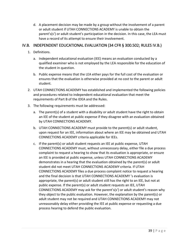d. A placement decision may be made by a group without the involvement of a parent or adult student if UTAH CONNECTIONS ACADEMY is unable to obtain the parent's(s') or adult student's participation in the decision. In this case, the LEA must have a record of its attempt to ensure their involvement.

#### IV.B. INDEPENDENT EDUCATIONAL EVALUATION (34 CFR § 300.502; RULES IV.B.)

- 1. Definitions.
	- a. Independent educational evaluation (IEE) means an evaluation conducted by a qualified examiner who is not employed by the LEA responsible for the education of the student in question.
	- b. Public expense means that the LEA either pays for the full cost of the evaluation or ensures that the evaluation is otherwise provided at no cost to the parent or adult student.
- 2. UTAH CONNECTIONS ACADEMY has established and implemented the following policies and procedures related to independent educational evaluation that meet the requirements of Part B of the IDEA and the Rules.
- 3. The following requirements must be addressed:
	- a. The parent(s) of a student with a disability or adult student have the right to obtain an IEE of the student at public expense if they disagree with an evaluation obtained by UTAH CONNECTIONS ACADEMY.
	- b. UTAH CONNECTIONS ACADEMY must provide to the parent(s) or adult student, upon request for an IEE, information about where an IEE may be obtained and UTAH CONNECTIONS ACADEMY criteria applicable for IEEs.
	- c. If the parent(s) or adult student requests an IEE at public expense, UTAH CONNECTIONS ACADEMY must, without unnecessary delay, either file a due process complaint to request a hearing to show that its evaluation is appropriate, or ensure an IEE is provided at public expense, unless UTAH CONNECTIONS ACADEMY demonstrates in a hearing that the evaluation obtained by the parent(s) or adult student did not meet UTAH CONNECTIONS ACADEMY criteria. If UTAH CONNECTIONS ACADEMY files a due process complaint notice to request a hearing and the final decision is that UTAH CONNECTIONS ACADEMY 's evaluation is appropriate, the parent(s) or adult student still has the right to an IEE, but not at public expense. If the parent(s) or adult student requests an IEE, UTAH CONNECTIONS ACADEMY may ask for the parent's(s') or adult student's reason why they object to the public evaluation. However, the explanation by the parent(s) or adult student may not be required and UTAH CONNECTIONS ACADEMY may not unreasonably delay either providing the IEE at public expense or requesting a due process hearing to defend the public evaluation.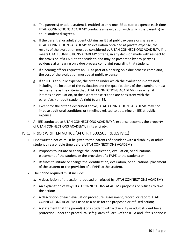- d. The parent(s) or adult student is entitled to only one IEE at public expense each time UTAH CONNECTIONS ACADEMY conducts an evaluation with which the parent(s) or adult student disagrees.
- e. If the parent(s) or adult student obtains an IEE at public expense or shares with UTAH CONNECTIONS ACADEMY an evaluation obtained at private expense, the results of the evaluation must be considered by UTAH CONNECTIONS ACADEMY, if it meets UTAH CONNECTIONS ACADEMY criteria, in any decision made with respect to the provision of a FAPE to the student, and may be presented by any party as evidence at a hearing on a due process complaint regarding that student.
- f. If a hearing officer requests an IEE as part of a hearing on a due process complaint, the cost of the evaluation must be at public expense.
- g. If an IEE is at public expense, the criteria under which the evaluation is obtained, including the location of the evaluation and the qualifications of the examiner, must be the same as the criteria that UTAH CONNECTIONS ACADEMY uses when it initiates an evaluation, to the extent those criteria are consistent with the parent's(s') or adult student's right to an IEE.
- h. Except for the criteria described above, UTAH CONNECTIONS ACADEMY may not impose additional conditions or timelines related to obtaining an IEE at public expense.
- 4. An IEE conducted at UTAH CONNECTIONS ACADEMY 's expense becomes the property of UTAH CONNECTIONS ACADEMY, in its entirety.

## IV.C. PRIOR WRITTEN NOTICE (34 CFR § 300.503; RULES IV.C.)

- 1. Prior written notice must be given to the parents of a student with a disability or adult student a reasonable time before UTAH CONNECTIONS ACADEMY:
	- a. Proposes to initiate or change the identification, evaluation, or educational placement of the student or the provision of a FAPE to the student; or
	- b. Refuses to initiate or change the identification, evaluation, or educational placement of the student or the provision of a FAPE to the student.
- 2. The notice required must include:
	- a. A description of the action proposed or refused by UTAH CONNECTIONS ACADEMY;
	- b. An explanation of why UTAH CONNECTIONS ACADEMY proposes or refuses to take the action;
	- c. A description of each evaluation procedure, assessment, record, or report UTAH CONNECTIONS ACADEMY used as a basis for the proposed or refused action;
	- d. A statement that the parent(s) of a student with a disability or adult student have protection under the procedural safeguards of Part B of the IDEA and, if this notice is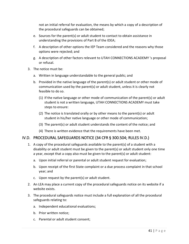not an initial referral for evaluation, the means by which a copy of a description of the procedural safeguards can be obtained;

- e. Sources for the parent(s) or adult student to contact to obtain assistance in understanding the provisions of Part B of the IDEA;
- f. A description of other options the IEP Team considered and the reasons why those options were rejected; and
- g. A description of other factors relevant to UTAH CONNECTIONS ACADEMY 's proposal or refusal.
- 3. The notice must be:
	- a. Written in language understandable to the general public; and
	- b. Provided in the native language of the parent(s) or adult student or other mode of communication used by the parent(s) or adult student, unless it is clearly not feasible to do so.
		- (1) If the native language or other mode of communication of the parent(s) or adult student is not a written language, UTAH CONNECTIONS ACADEMY must take steps to ensure:
		- (2) The notice is translated orally or by other means to the parent(s) or adult student in his/her native language or other mode of communication;
		- (3) The parent(s) or adult student understands the content of the notice; and
		- (4) There is written evidence that the requirements have been met.

#### IV.D. PROCEDURAL SAFEGUARDS NOTICE (34 CFR § 300.504; RULES IV.D.)

- 1. A copy of the procedural safeguards available to the parent(s) of a student with a disability or adult student must be given to the parent(s) or adult student only one time a year, except that a copy also must be given to the parent(s) or adult student:
	- a. Upon initial referral or parental or adult student request for evaluation;
	- b. Upon receipt of the first State complaint or a due process complaint in that school year; and
	- c. Upon request by the parent(s) or adult student.
- 2. An LEA may place a current copy of the procedural safeguards notice on its website if a website exists.
- 3. The procedural safeguards notice must include a full explanation of all the procedural safeguards relating to:
	- a. Independent educational evaluations;
	- b. Prior written notice;
	- c. Parental or adult student consent;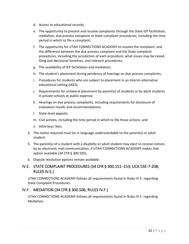- d. Access to educational records;
- e. The opportunity to present and resolve complaints through the State IEP facilitation, mediation, due process complaint or State complaint procedures, including the time period in which to file a complaint;
- f. The opportunity for UTAH CONNECTIONS ACADEMY to resolve the complaint, and the difference between the due process complaint and the State complaint procedures, including the jurisdiction of each procedure, what issues may be raised, filing and decisional timelines, and relevant procedures;
- g. The availability of IEP facilitation and mediation;
- h. The student's placement during pendency of hearings on due process complaints;
- i. Procedures for students who are subject to placement in an interim alternative educational setting (IAES);
- j. Requirements for unilateral placement by parent(s) of students or by adult students in private schools at public expense;
- k. Hearings on due process complaints, including requirements for disclosure of evaluation results and recommendations;
- l. State-level appeals;
- m. Civil actions, including the time period in which to file those actions; and
- n. Attorneys' fees.
- 4. The notice required must be in language understandable to the parent(s) or adult student.
- 5. The parent(s) of a student with a disability or adult student may elect to receive notices by an electronic mail communication, if UTAH CONNECTIONS ACADEMY makes that option available (34 CFR § 300.505).
- 6. Dispute resolution options remain available.

## IV.E. STATE COMPLAINT PROCEDURES (34 CFR § 300.151–153; UCA 53E-7-208; RULES IV.E.)

UTAH CONNECTIONS ACADEMY follows all requirements found in Rules IV.E. regarding State Complaint Procedures.

## IV.F. MEDIATION (34 CFR § 300.506; RULES IV.F.)

UTAH CONNECTIONS ACADEMY follows all requirements found in Rules IV.F. regarding Mediation.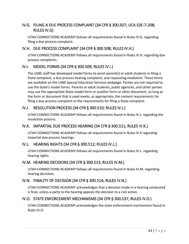## IV.G. FILING A DUE PROCESS COMPLAINT (34 CFR § 300.507; UCA 53E-7-208; RULES IV.G)

UTAH CONNECTIONS ACADEMY follows all requirements found in Rules IV.G. regarding filing a due process complaint.

#### IV.H. DUE PROCESS COMPLAINT (34 CFR § 300.508; RULES IV.H.)

UTAH CONNECTIONS ACADEMY follows all requirements found in Rules IV.H. regarding due process complaints.

### IV.I. MODEL FORMS (34 CFR § 300.509; RULES IV.I.)

The USBE staff has developed model forms to assist parent(s) or adult students in filing a State complaint, a due process hearing complaint, and requesting mediation. These forms are available on the USBE Special Education Services webpage. Parties are not required to use the State's model forms. Parents or adult students, public agencies, and other parties may use the appropriate State model form or another form or other document, so long as the form or document that is used meets, as appropriate, the content requirements for filing a due process complaint or the requirements for filing a State complaint.

### IV.J. RESOLUTION PROCESS (34 CFR § 300.510; RULES IV.J.)

UTAH CONNECTIONS ACADEMY follows all requirements found in Rules IV.J. regarding the resolution process.

## IV.K. IMPARTIAL DUE PROCESS HEARING (34 CFR § 300.511; RULES IV.K.)

UTAH CONNECTIONS ACADEMY follows all requirements found in Rules IV.K regarding impartial due process hearings.

## IV.L. HEARING RIGHTS (34 CFR § 300.512; RULES IV.L.)

UTAH CONNECTIONS ACADEMY follows all requirements found in Rules IV.L. regarding hearing rights.

#### IV.M. HEARING DECISIONS (34 CFR § 300.513; RULES IV.M.)

UTAH CONNECTIONS ACADEMY follows all requirements found in Rules IV.M. regarding hearing decisions.

#### IV.N. FINALITY OF DECISION (34 CFR § 300.514; RULES IV.N.)

UTAH CONNECTIONS ACADEMY acknowledges that a decision made in a hearing conducted is final, unless a party to the hearing appeals the decision to a civil action.

#### IV.O. STATE ENFORCEMENT MECHANISMS (34 CFR § 300.537; RULES IV.O.)

UTAH CONNECTIONS ACADEMY acknowledges the state enforcement mechanisms found in Rules IV.O.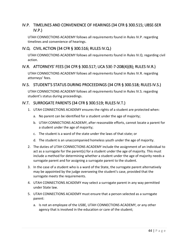## IV.P. TIMELINES AND CONVENIENCE OF HEARINGS (34 CFR § 300.515; UBSE-SER IV.P.)

UTAH CONNECTIONS ACADEMY follows all requirements found in Rules IV.P. regarding timelines and convenience of hearings.

### IV.Q. CIVIL ACTION (34 CFR § 300.516; RULES IV.Q.)

UTAH CONNECTIONS ACADEMY follows all requirements found in Rules IV.Q. regarding civil action.

## IV.R. ATTORNEYS' FEES (34 CFR § 300.517; UCA 53E-7-208(4)(B); RULES IV.R.)

UTAH CONNECTIONS ACADEMY follows all requirements found in Rules IV.R. regarding attorneys' fees.

#### IV.S. STUDENT'S STATUS DURING PROCEEDINGS (34 CFR § 300.518; RULES IV.S.)

UTAH CONNECTIONS ACADEMY follows all requirements found in Rules IV.S. regarding student's status during proceedings.

#### IV.T. SURROGATE PARENTS (34 CFR § 300.519; RULES IV.T.)

- 1. UTAH CONNECTIONS ACADEMY ensures the rights of a student are protected when:
	- a. No parent can be identified for a student under the age of majority;
	- b. UTAH CONNECTIONS ACADEMY, after reasonable efforts, cannot locate a parent for a student under the age of majority;
	- c. The student is a ward of the state under the laws of that state; or
	- d. The student is an unaccompanied homeless youth under the age of majority.
- 2. The duties of UTAH CONNECTIONS ACADEMY include the assignment of an individual to act as a surrogate for the parent(s) for a student under the age of majority. This must include a method for determining whether a student under the age of majority needs a surrogate parent and for assigning a surrogate parent to the student.
- 3. In the case of a student who is a ward of the State, the surrogate parent alternatively may be appointed by the judge overseeing the student's case, provided that the surrogate meets the requirements.
- 4. UTAH CONNECTIONS ACADEMY may select a surrogate parent in any way permitted under State law.
- 5. UTAH CONNECTIONS ACADEMY must ensure that a person selected as a surrogate parent:
	- a. Is not an employee of the USBE, UTAH CONNECTIONS ACADEMY, or any other agency that is involved in the education or care of the student;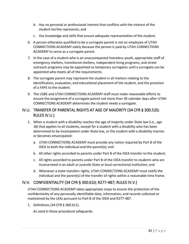- b. Has no personal or professional interest that conflicts with the interest of the student he/she represents; and
- c. Has knowledge and skills that ensure adequate representation of the student.
- 6. A person otherwise qualified to be a surrogate parent is not an employee of UTAH CONNECTIONS ACADEMY solely because the person is paid by UTAH CONNECTIONS ACADEMY to serve as a surrogate parent.
- 7. In the case of a student who is an unaccompanied homeless youth, appropriate staff of emergency shelters, transitional shelters, independent living programs, and street outreach programs may be appointed as temporary surrogates until a surrogate can be appointed who meets all of the requirements.
- 8. The surrogate parent may represent the student in all matters relating to the identification, evaluation, and educational placement of the student, and the provision of a FAPE to the student.
- 9. The USBE and UTAH CONNECTIONS ACADEMY staff must make reasonable efforts to ensure the assignment of a surrogate parent not more than 30 calendar days after UTAH CONNECTIONS ACADEMY determines the student needs a surrogate.

### IV.U. TRANSFER OF PARENTAL RIGHTS AT AGE OF MAJORITY (34 CFR § 300.520; RULES IV.U.)

- 1. When a student with a disability reaches the age of majority under State law (i.e., age 18) that applies to all students, except for a student with a disability who has been determined to be incompetent under State law, or the student with a disability marries or becomes emancipated:
	- a. UTAH CONNECTIONS ACADEMY must provide any notice required by Part B of the IDEA to both the individual and the parent(s); and
	- b. All other rights accorded to parents under Part B of the IDEA transfer to the student;
	- c. All rights accorded to parents under Part B of the IDEA transfer to students who are incarcerated in an adult or juvenile State or local correctional institution; and
	- d. Whenever a state transfers rights, UTAH CONNECTIONS ACADEMY must notify the individual and the parent(s) of the transfer of rights within a reasonable time frame.

## IV.V. CONFIDENTIALITY (34 CFR § 300.610; R277-487; RULES IV.V.)

UTAH CONNECTIONS ACADEMY takes appropriate steps to ensure the protection of the confidentiality of any personally identifiable data, information, and records collected or maintained by the LEAs pursuant to Part B of the IDEA and R277-487.

1. Definitions (34 CFR § 300.611).

As used in these procedural safeguards: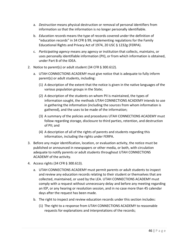- a. *Destruction* means physical destruction or removal of personal identifiers from information so that the information is no longer personally identifiable.
- b. *Education records* means the type of records covered under the definition of "education records" in 34 CFR § 99, implementing regulations for the Family Educational Rights and Privacy Act of 1974, 20 USC § 1232g (FERPA).
- c. *Participating agency* means any agency or institution that collects, maintains, or uses personally identifiable information (PII), or from which information is obtained, under Part B of the IDEA.
- 2. Notice to parent(s) or adult student (34 CFR § 300.612).
	- a. UTAH CONNECTIONS ACADEMY must give notice that is adequate to fully inform parent(s) or adult students, including:
		- (1) A description of the extent that the notice is given in the native languages of the various population groups in the State;
		- (2) A description of the students on whom PII is maintained, the types of information sought, the methods UTAH CONNECTIONS ACADEMY intends to use in gathering the information (including the sources from whom information is gathered), and the uses to be made of the information;
		- (3) A summary of the policies and procedures UTAH CONNECTIONS ACADEMY must follow regarding storage, disclosure to third parties, retention, and destruction of PII; and
		- (4) A description of all of the rights of parents and students regarding this information, including the rights under FERPA.
- 3. Before any major identification, location, or evaluation activity, the notice must be published or announced in newspapers or other media, or both, with circulation adequate to notify parents or adult students throughout UTAH CONNECTIONS ACADEMY of the activity.
- 4. Access rights (34 CFR § 300.613).
	- a. UTAH CONNECTIONS ACADEMY must permit parents or adult students to inspect and review any education records relating to their student or themselves that are collected, maintained, or used by the LEA. UTAH CONNECTIONS ACADEMY must comply with a request without unnecessary delay and before any meeting regarding an IEP, or any hearing or resolution session, and in no case more than 45 calendar days after the request has been made.
	- b. The right to inspect and review education records under this section includes:
		- (1) The right to a response from UTAH CONNECTIONS ACADEMY to reasonable requests for explanations and interpretations of the records;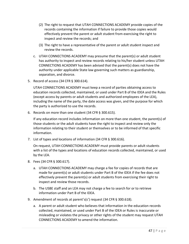- (2) The right to request that UTAH CONNECTIONS ACADEMY provide copies of the records containing the information if failure to provide those copies would effectively prevent the parent or adult student from exercising the right to inspect and review the records; and
- (3) The right to have a representative of the parent or adult student inspect and review the records.
- c. UTAH CONNECTIONS ACADEMY may presume that the parent(s) or adult student has authority to inspect and review records relating to his/her student unless UTAH CONNECTIONS ACADEMY has been advised that the parent(s) does not have the authority under applicable State law governing such matters as guardianship, separation, and divorce.
- 5. Record of access (34 CFR § 300.614).

UTAH CONNECTIONS ACADEMY must keep a record of parties obtaining access to education records collected, maintained, or used under Part B of the IDEA and the Rules (except access by parents or adult students and authorized employees of the LEA), including the name of the party, the date access was given, and the purpose for which the party is authorized to use the records.

6. Records on more than one student (34 CFR § 300.615).

If any education record includes information on more than one student, the parent(s) of those students or the adult students have the right to inspect and review only the information relating to their student or themselves or to be informed of that specific information.

7. List of types and locations of information (34 CFR § 300.616).

On request, UTAH CONNECTIONS ACADEMY must provide parents or adult students with a list of the types and locations of education records collected, maintained, or used by the LEA.

- 8. Fees (34 CFR § 300.617).
	- a. UTAH CONNECTIONS ACADEMY may charge a fee for copies of records that are made for parent(s) or adult students under Part B of the IDEA if the fee does not effectively prevent the parent(s) or adult students from exercising their right to inspect and review those records.
	- b. The USBE staff and an LEA may not charge a fee to search for or to retrieve information under Part B of the IDEA.
- 9. Amendment of records at parent's(s') request (34 CFR § 300.618).
	- a. A parent or adult student who believes that information in the education records collected, maintained, or used under Part B of the IDEA or Rules is inaccurate or misleading or violates the privacy or other rights of the student may request UTAH CONNECTIONS ACADEMY to amend the information.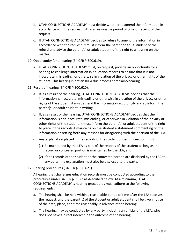- b. UTAH CONNECTIONS ACADEMY must decide whether to amend the information in accordance with the request within a reasonable period of time of receipt of the request.
- c. If UTAH CONNECTIONS ACADEMY decides to refuse to amend the information in accordance with the request, it must inform the parent or adult student of the refusal and advise the parent(s) or adult student of the right to a hearing on the matter.
- 10. Opportunity for a hearing (34 CFR § 300.619).
	- a. UTAH CONNECTIONS ACADEMY must, on request, provide an opportunity for a hearing to challenge information in education records to ensure that it is not inaccurate, misleading, or otherwise in violation of the privacy or other rights of the student. This hearing is not an IDEA due process complaint/hearing.
- 11. Result of hearing (34 CFR § 300.620).
	- a. If, as a result of the hearing, UTAH CONNECTIONS ACADEMY decides that the information is inaccurate, misleading or otherwise in violation of the privacy or other rights of the student, it must amend the information accordingly and so inform the parent(s) or adult student in writing.
	- b. If, as a result of the hearing, UTAH CONNECTIONS ACADEMY decides that the information is not inaccurate, misleading, or otherwise in violation of the privacy or other rights of the student, it must inform the parent(s) or adult student of the right to place in the records it maintains on the student a statement commenting on the information or setting forth any reasons for disagreeing with the decision of the LEA.
	- c. Any explanation placed in the records of the student under this section must:
		- (1) Be maintained by the LEA as part of the records of the student as long as the record or contested portion is maintained by the LEA; and
		- (2) If the records of the student or the contested portion are disclosed by the LEA to any party, the explanation must also be disclosed to the party.
- 12. Hearing procedures (34 CFR § 300.621).

A hearing that challenges education records must be conducted according to the procedures under 34 CFR § 99.22 as described below. At a minimum, UTAH CONNECTIONS ACADEMY 's hearing procedures must adhere to the following requirements:

- a. The hearing shall be held within a reasonable period of time after the LEA receives the request, and the parent(s) of the student or adult student shall be given notice of the date, place, and time reasonably in advance of the hearing.
- b. The hearing may be conducted by any party, including an official of the LEA, who does not have a direct interest in the outcome of the hearing.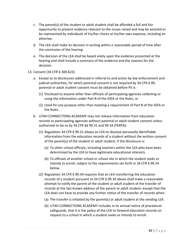- c. The parent(s) of the student or adult student shall be afforded a full and fair opportunity to present evidence relevant to the issues raised and may be assisted or be represented by individuals of his/her choice at his/her own expense, including an attorney.
- d. The LEA shall make its decision in writing within a reasonable period of time after the conclusion of the hearing.
- e. The decision of the LEA shall be based solely upon the evidence presented at the hearing and shall include a summary of the evidence and the reasons for the decision.
- 13. Consent (34 CFR § 300.622).
	- a. Except as to disclosures addressed in referral to and action by law enforcement and judicial authorities, for which parental consent is not required by 34 CFR § 99, parental or adult student consent must be obtained before PII is:
		- (1) Disclosed to anyone other than officials of participating agencies collecting or using the information under Part B of the IDEA or the Rules, or
		- (2) Used for any purpose other than meeting a requirement of Part B of the IDEA or the Rules.
	- b. UTAH CONNECTIONS ACADEMY may not release information from education records to participating agencies without parental or adult student consent unless authorized to do so by 34 CFR §§ 99.31 and 99.34 (FERPA):
		- (1) Regulation 34 CFR § 99.31 allows an LEA to disclose personally identifiable information from the education records of a student without the written consent of the parent(s) of the student or adult student, if the disclosure is:
			- (a) To other school officials, including teachers within the LEA who have been determined by the LEA to have legitimate educational interests.
			- (b) To officials of another school or school site in which the student seeks or intends to enroll, subject to the requirements set forth in 34 CFR § 99.34 below.
		- (2) Regulation 34 CFR § 99.34 requires that an LEA transferring the education records of a student pursuant to 34 CFR § 99.34 above shall make a reasonable attempt to notify the parent of the student or adult student of the transfer of records at the last known address of the parent or adult student, except that the LEA does not have to provide any further notice of the transfer of records when:
			- (a) The transfer is initiated by the parent(s) or adult student at the sending LEA.
			- (b) UTAH CONNECTIONS ACADEMY includes in its annual notice of procedural safeguards, that it is the policy of the LEA to forward education records on request to a school in which a student seeks or intends to enroll.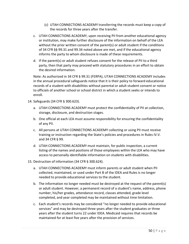- (c) UTAH CONNECTIONS ACADEMY transferring the records must keep a copy of the records for three years after the transfer.
- c. UTAH CONNECTIONS ACADEMY, upon receiving PII from another educational agency or institution, may make further disclosure of the information on behalf of the LEA without the prior written consent of the parent(s) or adult student if the conditions of 34 CFR §§ 99.31 and 99.34 noted above are met, and if the educational agency informs the party to whom disclosure is made of these requirements.
- d. If the parent(s) or adult student refuses consent for the release of PII to a third party, then that party may proceed with statutory procedures in an effort to obtain the desired information.

Note: As authorized in 34 CFR § 99.31 (FERPA), UTAH CONNECTIONS ACADEMY includes in the annual procedural safeguards notice that it is their policy to forward educational records of a student with disabilities without parental or adult student consent or notice to officials of another school or school district in which a student seeks or intends to enroll.

- 14. Safeguards (34 CFR § 300.623).
	- a. UTAH CONNECTIONS ACADEMY must protect the confidentiality of PII at collection, storage, disclosure, and destruction stages.
	- b. One official at each LEA must assume responsibility for ensuring the confidentiality of any PII.
	- c. All persons at UTAH CONNECTIONS ACADEMY collecting or using PII must receive training or instruction regarding the State's policies and procedures in Rules IV.V. and 34 CFR § 99.
	- d. UTAH CONNECTIONS ACADEMY must maintain, for public inspection, a current listing of the names and positions of those employees within the LEA who may have access to personally identifiable information on students with disabilities.
- 15. Destruction of information (34 CFR § 300.624).
	- a. UTAH CONNECTIONS ACADEMY must inform parents or adult student when PII collected, maintained, or used under Part B of the IDEA and Rules is no longer needed to provide educational services to the student.
	- b. The information no longer needed must be destroyed at the request of the parent(s) or adult student. However, a permanent record of a student's name, address, phone number, his/her grades, attendance record, classes attended, grade level completed, and year completed may be maintained without time limitation.
	- c. Each student's records may be considered "no longer needed to provide educational services" and may be destroyed three years after the student graduates or three years after the student turns 22 under IDEA. Medicaid requires that records be maintained for at least five years after the provision of services.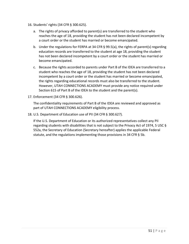- 16. Students' rights (34 CFR § 300.625).
	- a. The rights of privacy afforded to parent(s) are transferred to the student who reaches the age of 18, providing the student has not been declared incompetent by a court order or the student has married or become emancipated.
	- b. Under the regulations for FERPA at 34 CFR § 99.5(a), the rights of parent(s) regarding education records are transferred to the student at age 18, providing the student has not been declared incompetent by a court order or the student has married or become emancipated.
	- c. Because the rights accorded to parents under Part B of the IDEA are transferred to a student who reaches the age of 18, providing the student has not been declared incompetent by a court order or the student has married or become emancipated, the rights regarding educational records must also be transferred to the student. However, UTAH CONNECTIONS ACADEMY must provide any notice required under Section 615 of Part B of the IDEA to the student and the parent(s).
- 17. Enforcement (34 CFR § 300.626).

The confidentiality requirements of Part B of the IDEA are reviewed and approved as part of UTAH CONNECTIONS ACADEMY eligibility process.

18. U.S. Department of Education use of PII (34 CFR § 300.627).

If the U.S. Department of Education or its authorized representatives collect any PII regarding students with disabilities that is not subject to the Privacy Act of 1974, 5 USC § 552a, the Secretary of Education (Secretary hereafter) applies the applicable Federal statute, and the regulations implementing those provisions in 34 CFR § 5b.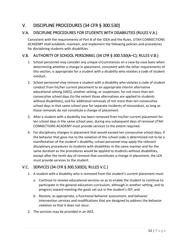# V. DISCIPLINE PROCEDURES (34 CFR § 300.530)

## V.A. DISCIPLINE PROCEDURES FOR STUDENTS WITH DISABILITIES (RULES V.A.)

Consistent with the requirements of Part B of the IDEA and the Rules, UTAH CONNECTIONS ACADEMY shall establish, maintain, and implement the following policies and procedures for disciplining students with disabilities.

## V.B. AUTHORITY OF SCHOOL PERSONNEL (34 CFR § 300.530(A–C); RULES V.B.)

- 1. School personnel may consider any unique circumstances on a case-by-case basis when determining whether a change in placement, consistent with the other requirements of this section, is appropriate for a student with a disability who violates a code of student conduct.
- 2. School personnel may remove a student with a disability who violates a code of student conduct from his/her current placement to an appropriate interim alternative educational setting (IAES), another setting, or suspension, for not more than ten consecutive school days (to the extent those alternatives are applied to students without disabilities), and for additional removals of not more than ten consecutive school days in that same school year for separate incidents of misconduct, as long as those removals do not constitute a change of placement.
- 3. After a student with a disability has been removed from his/her current placement for ten school days in the same school year, during any subsequent days of removal UTAH CONNECTIONS ACADEMY must provide services to the extent required.
- 4. For disciplinary changes in placement that would exceed ten consecutive school days, if the behavior that gave rise to the violation of the school code is determined not to be a manifestation of the student's disability, school personnel may apply the relevant disciplinary procedures to students with disabilities in the same manner and for the same duration as the procedures would be applied to students without disabilities, except after the tenth day of removal that constitutes a change in placement, the LEA must provide services to the student.

## V.C. SERVICES (34 CFR § 300.530(D); RULES V.C.)

- 1. A student with a disability who is removed from the student's current placement must:
	- a. Continue to receive educational services so as to enable the student to continue to participate in the general education curriculum, although in another setting, and to progress toward meeting the goals set out in the student's IEP; and
	- b. Receive, as appropriate, a functional behavior assessment, and behavior intervention services and modifications that are designed to address the behavior violation so that it does not recur.
- 2. The services may be provided in an IAES.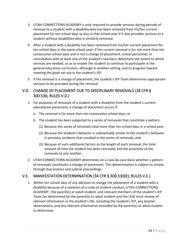- 3. UTAH CONNECTIONS ACADEMY is only required to provide services during periods of removal to a student with a disability who has been removed from his/her current placement for ten school days or less in that school year if it also provides services to a student without disabilities who is similarly removed.
- 4. After a student with a disability has been removed from his/her current placement for ten school days in the same school year, if the current removal is for not more than ten consecutive school days and is not a change of placement, school personnel, in consultation with at least one of the student's teachers, determine the extent to which services are needed, so as to enable the student to continue to participate in the general education curriculum, although in another setting, and to progress toward meeting the goals set out in the student's IEP.
- 5. If the removal is a change of placement, the student's IEP Team determines appropriate services to be provided during the removal.

### V.D. CHANGE OF PLACEMENT DUE TO DISCIPLINARY REMOVALS (34 CFR § 300.536; RULES V.D.)

- 1. For purposes of removals of a student with a disability from the student's current educational placement, a change of placement occurs if:
	- a. The removal is for more than ten consecutive school days; or
	- b. The student has been subjected to a series of removals that constitute a pattern:
		- (1) Because the series of removals total more than ten school days in a school year;
		- (2) Because the student's behavior is substantially similar to the student's behavior in previous incidents that resulted in the series of removals; and
		- (3) Because of such additional factors as the length of each removal, the total amount of time the student has been removed, and the proximity of the removals to one another.
- 2. UTAH CONNECTIONS ACADEMY determines on a case-by-case basis whether a pattern of removals constitutes a change of placement. This determination is subject to review through due process and judicial proceedings.

## V.E. MANIFESTATION DETERMINATION (34 CFR § 300.530(E); RULES V.E.)

1. Within ten school days of any decision to change the placement of a student with a disability because of a violation of a code of student conduct, UTAH CONNECTIONS ACADEMY , the parent(s) or adult student, and relevant members of the student's IEP Team (as determined by the parent(s) or adult student and the LEA) must review all relevant information in the student's file, including the student's IEP, any teacher observations, and any relevant information provided by the parent(s) or adult student to determine: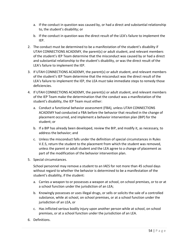- a. If the conduct in question was caused by, or had a direct and substantial relationship to, the student's disability; or
- b. If the conduct in question was the direct result of the LEA's failure to implement the IEP.
- 2. The conduct must be determined to be a manifestation of the student's disability if UTAH CONNECTIONS ACADEMY, the parent(s) or adult student, and relevant members of the student's IEP Team determine that the misconduct was caused by or had a direct and substantial relationship to the student's disability, or was the direct result of the LEA's failure to implement the IEP.
- 3. If UTAH CONNECTIONS ACADEMY, the parent(s) or adult student, and relevant members of the student's IEP Team determine that the misconduct was the direct result of the LEA's failure to implement the IEP, the LEA must take immediate steps to remedy those deficiencies.
- 4. If UTAH CONNECTIONS ACADEMY, the parent(s) or adult student, and relevant members of the IEP Team make the determination that the conduct was a manifestation of the student's disability, the IEP Team must either:
	- a. Conduct a functional behavior assessment (FBA), unless UTAH CONNECTIONS ACADEMY had conducted a FBA before the behavior that resulted in the change of placement occurred, and implement a behavior intervention plan (BIP) for the student; or
	- b. If a BIP has already been developed, review the BIP, and modify it, as necessary, to address the behavior; and
	- c. Unless the misconduct falls under the definition of special circumstances in Rules V.E.5, return the student to the placement from which the student was removed, unless the parent or adult student and the LEA agree to a change of placement as part of the modification of the behavior intervention plan.
- 5. Special circumstances.

School personnel may remove a student to an IAES for not more than 45 school days without regard to whether the behavior is determined to be a manifestation of the student's disability, if the student:

- a. Carries a weapon to or possesses a weapon at school, on school premises, or to or at a school function under the jurisdiction of an LEA;
- b. Knowingly possesses or uses illegal drugs, or sells or solicits the sale of a controlled substance, while at school, on school premises, or at a school function under the jurisdiction of an LEA, or
- c. Has inflicted serious bodily injury upon another person while at school, on school premises, or at a school function under the jurisdiction of an LEA.
- 6. Definitions.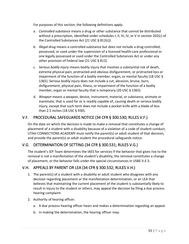For purposes of this section, the following definitions apply:

- a. *Controlled substance* means a drug or other substance that cannot be distributed without a prescription, identified under schedules I, II, III, IV, or V in section 202(c) of the Controlled Substances Act (21 USC § 812(c)).
- b. *Illegal drug* means a controlled substance but does not include a drug controlled, possessed, or used under the supervision of a licensed health-care professional or one legally possessed or used under the Controlled Substances Act or under any other provision of Federal law (21 USC § 812).
- c. *Serious bodily injury* means bodily injury that involves a substantial risk of death, extreme physical pain, protracted and obvious disfigurement, or protracted loss or impairment of the function of a bodily member, organ, or mental faculty (18 USC § 1365). Serious bodily injury does not include a cut, abrasion, bruise, burn, disfigurement, physical pain, illness, or impairment of the function of a bodily member, organ or mental faculty that is temporary (20 USC § 1365).
- d. *Weapon* means a weapon, device, instrument, material, or substance, animate or inanimate, that is used for or is readily capable of, causing death or serious bodily injury, except that such term does not include a pocket knife with a blade of less than 2.5 inches (18 USC § 930).

### V.F. PROCEDURAL SAFEGUARDS NOTICE (34 CFR § 300.530; RULES V.F.)

On the date on which the decision is made to make a removal that constitutes a change of placement of a student with a disability because of a violation of a code of student conduct, UTAH CONNECTIONS ACADEMY must notify the parent(s) or adult student of that decision, and provide the parent(s) or adult student the procedural safeguards notice.

#### V.G. DETERMINATION OF SETTING (34 CFR § 300.531; RULES V.G.)

The student's IEP Team determines the IAES for services if the behavior that gives rise to the removal is not a manifestation of the student's disability, the removal constitutes a change of placement, or the behavior falls under the special circumstances in USBE V.E.5.

#### V.H. APPEALS BY PARENT OR LEA (34 CFR § 300.532; RULES V.H.)

- 1. The parent(s) of a student with a disability or adult student who disagrees with any decision regarding placement or the manifestation determination, or an LEA that believes that maintaining the current placement of the student is substantially likely to result in injury to the student or others, may appeal the decision by filing a due process hearing complaint.
- 2. Authority of hearing officer.
	- a. A due process hearing officer hears and makes a determination regarding an appeal.
	- b. In making the determination, the hearing officer may: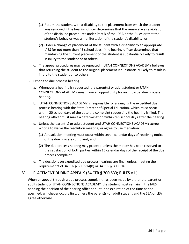- (1) Return the student with a disability to the placement from which the student was removed if the hearing officer determines that the removal was a violation of the discipline procedures under Part B of the IDEA or the Rules or that the student's behavior was a manifestation of the student's disability; or
- (2) Order a change of placement of the student with a disability to an appropriate IAES for not more than 45 school days if the hearing officer determines that maintaining the current placement of the student is substantially likely to result in injury to the student or to others.
- c. The appeal procedures may be repeated if UTAH CONNECTIONS ACADEMY believes that returning the student to the original placement is substantially likely to result in injury to the student or to others.
- 3. Expedited due process hearing.
	- a. Whenever a hearing is requested, the parent(s) or adult student or UTAH CONNECTIONS ACADEMY must have an opportunity for an impartial due process hearing.
	- b. UTAH CONNECTIONS ACADEMY is responsible for arranging the expedited due process hearing with the State Director of Special Education, which must occur within 20 school days of the date the complaint requesting the hearing is filed. The hearing officer must make a determination within ten school days after the hearing.
	- c. Unless the parent(s) or adult student and UTAH CONNECTIONS ACADEMY agree in writing to waive the resolution meeting, or agree to use mediation:
		- (1) A resolution meeting must occur within seven calendar days of receiving notice of the due process complaint; and
		- (2) The due process hearing may proceed unless the matter has been resolved to the satisfaction of both parties within 15 calendar days of the receipt of the due process complaint.
	- d. The decisions on expedited due process hearings are final, unless meeting the requirements of 34 CFR § 300.514(b) or 34 CFR § 300.516.

## V.I. PLACEMENT DURING APPEALS (34 CFR § 300.533; RULES V.I.)

When an appeal through a due process complaint has been made by either the parent or adult student or UTAH CONNECTIONS ACADEMY, the student must remain in the IAES pending the decision of the hearing officer or until the expiration of the time period specified, whichever occurs first, unless the parent(s) or adult student and the SEA or LEA agree otherwise.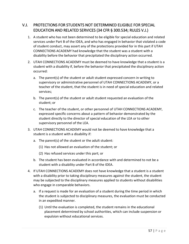## V.J. PROTECTIONS FOR STUDENTS NOT DETERMINED ELIGIBLE FOR SPECIAL EDUCATION AND RELATED SERVICES (34 CFR § 300.534; RULES V.J.)

- 1. A student who has not been determined to be eligible for special education and related services under Part B of the IDEA, and who has engaged in behavior that violated a code of student conduct, may assert any of the protections provided for in this part if UTAH CONNECTIONS ACADEMY had knowledge that the student was a student with a disability before the behavior that precipitated the disciplinary action occurred.
- 2. UTAH CONNECTIONS ACADEMY must be deemed to have knowledge that a student is a student with a disability if, before the behavior that precipitated the disciplinary action occurred:
	- a. The parent(s) of the student or adult student expressed concern in writing to supervisory or administrative personnel of UTAH CONNECTIONS ACADEMY, or a teacher of the student, that the student is in need of special education and related services;
	- b. The parent(s) of the student or adult student requested an evaluation of the student; or
	- c. The teacher of the student, or other personnel of UTAH CONNECTIONS ACADEMY, expressed specific concerns about a pattern of behavior demonstrated by the student directly to the director of special education of the LEA or to other supervisory personnel of the LEA.
- 3. UTAH CONNECTIONS ACADEMY would not be deemed to have knowledge that a student is a student with a disability if:
	- a. The parent(s) of the student or the adult student:
		- (1) Has not allowed an evaluation of the student; or
		- (2) Has refused services under this part; or
	- b. The student has been evaluated in accordance with and determined to not be a student with a disability under Part B of the IDEA.
- 4. If UTAH CONNECTIONS ACADEMY does not have knowledge that a student is a student with a disability prior to taking disciplinary measures against the student, the student may be subjected to the disciplinary measures applied to students without disabilities who engage in comparable behaviors.
	- a. If a request is made for an evaluation of a student during the time period in which the student is subjected to disciplinary measures, the evaluation must be conducted in an expedited manner.
		- (1) Until the evaluation is completed, the student remains in the educational placement determined by school authorities, which can include suspension or expulsion without educational services.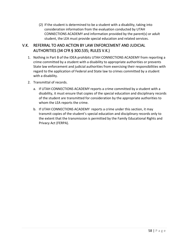(2) If the student is determined to be a student with a disability, taking into consideration information from the evaluation conducted by UTAH CONNECTIONS ACADEMY and information provided by the parent(s) or adult student, the LEA must provide special education and related services.

## V.K. REFERRAL TO AND ACTION BY LAW ENFORCEMENT AND JUDICIAL AUTHORITIES (34 CFR § 300.535; RULES V.K.)

- 1. Nothing in Part B of the IDEA prohibits UTAH CONNECTIONS ACADEMY from reporting a crime committed by a student with a disability to appropriate authorities or prevents State law enforcement and judicial authorities from exercising their responsibilities with regard to the application of Federal and State law to crimes committed by a student with a disability.
- 2. Transmittal of records.
	- a. If UTAH CONNECTIONS ACADEMY reports a crime committed by a student with a disability, it must ensure that copies of the special education and disciplinary records of the student are transmitted for consideration by the appropriate authorities to whom the LEA reports the crime.
	- b. If UTAH CONNECTIONS ACADEMY reports a crime under this section, it may transmit copies of the student's special education and disciplinary records only to the extent that the transmission is permitted by the Family Educational Rights and Privacy Act (FERPA).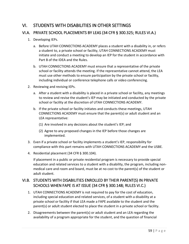# VI. STUDENTS WITH DISABILITIES IN OTHER SETTINGS

### VI.A. PRIVATE SCHOOL PLACEMENTS BY LEAS (34 CFR § 300.325; RULES VI.A.)

- 1. Developing IEPs.
	- a. Before UTAH CONNECTIONS ACADEMY places a student with a disability in, or refers a student to, a private school or facility, UTAH CONNECTIONS ACADEMY must initiate and conduct a meeting to develop an IEP for the student in accordance with Part B of the IDEA and the Rules.
	- b. UTAH CONNECTIONS ACADEMY must ensure that a representative of the private school or facility attends the meeting. If the representative cannot attend, the LEA must use other methods to ensure participation by the private school or facility, including individual or conference telephone calls or video conferencing.
- 2. Reviewing and revising IEPs.
	- a. After a student with a disability is placed in a private school or facility, any meetings to review and revise the student's IEP may be initiated and conducted by the private school or facility at the discretion of UTAH CONNECTIONS ACADEMY.
	- b. If the private school or facility initiates and conducts these meetings, UTAH CONNECTIONS ACADEMY must ensure that the parent(s) or adult student and an LEA representative:
		- (1) Are involved in any decisions about the student's IEP; and
		- (2) Agree to any proposed changes in the IEP before those changes are implemented.
- 3. Even if a private school or facility implements a student's IEP, responsibility for compliance with this part remains with UTAH CONNECTIONS ACADEMY and the USBE.
- 4. Residential placement (34 CFR § 300.104).

If placement in a public or private residential program is necessary to provide special education and related services to a student with a disability, the program, including nonmedical care and room and board, must be at no cost to the parent(s) of the student or adult student.

## VI.B. STUDENTS WITH DISABILITIES ENROLLED BY THEIR PARENT(S) IN PRIVATE SCHOOLS WHEN FAPE IS AT ISSUE (34 CFR § 300.148; RULES VI.C.)

- 1. UTAH CONNECTIONS ACADEMY is not required to pay for the cost of education, including special education and related services, of a student with a disability at a private school or facility if that LEA made a FAPE available to the student and the parent(s) or adult student elected to place the student in a private school or facility.
- 2. Disagreements between the parent(s) or adult student and an LEA regarding the availability of a program appropriate for the student, and the question of financial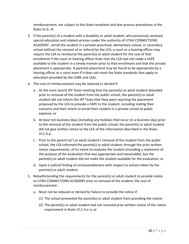reimbursement, are subject to the State complaint and due process procedures in the Rules IV.G.–R.

- 3. If the parent(s) of a student with a disability or adult student, who previously received special education and related services under the authority of UTAH CONNECTIONS ACADEMY , enroll the student in a private preschool, elementary school, or secondary school without the consent of or referral by the LEA, a court or a hearing officer may require the LEA to reimburse the parent(s) or adult student for the cost of that enrollment if the court or hearing officer finds that the LEA had not made a FAPE available to the student in a timely manner prior to that enrollment and that the private placement is appropriate. A parental placement may be found to be appropriate by a hearing officer or a court even if it does not meet the State standards that apply to education provided by the USBE and LEAs.
- 4. The cost of reimbursement may be reduced or denied if:
	- a. At the most recent IEP Team meeting that the parent(s) or adult student attended prior to removal of the student from the public school, the parent(s) or adult student did not inform the IEP Team that they were rejecting the placement proposed by the LEA to provide a FAPE to the student, including stating their concerns and their intent to enroll their student in a private school at public expense; or
	- b. At least ten business days (including any holidays that occur on a business day) prior to the removal of the student from the public school, the parent(s) or adult student did not give written notice to the LEA of the information described in the Rules VI.C.4.a;
	- c. Prior to the parent's(s') or adult student's removal of the student from the public school, the LEA informed the parent(s) or adult student, through the prior written notice requirements, of its intent to evaluate the student (including a statement of the purpose of the evaluation that was appropriate and reasonable), but the parent(s) or adult student did not make the student available for the evaluation; or
	- d. Upon a judicial finding of unreasonableness with respect to actions taken by the parent(s) or adult student.
- 5. Notwithstanding the requirements for the parent(s) or adult student to provide notice to UTAH CONNECTIONS ACADEMY prior to removal of the student, the cost of reimbursement:
	- a. Must not be reduced or denied for failure to provide the notice if:
		- (1) The school prevented the parent(s) or adult student from providing the notice;
		- (2) The parent(s) or adult student had not received prior written notice of the notice requirement in Rules VI.C.4.a–c; or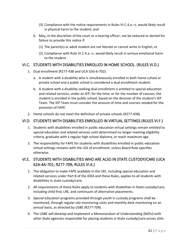- (3) Compliance with the notice requirements in Rules VI.C.4.a.–c. would likely result in physical harm to the student; and
- b. May, in the discretion of the court or a hearing officer, not be reduced or denied for failure to provide this notice if:
	- (1) The parent(s) or adult student are not literate or cannot write in English; or
	- (2) Compliance with Rule VI.C.4.a.–c. would likely result in serious emotional harm to the student.

#### VI.C. STUDENTS WITH DISABILITIES ENROLLED IN HOME SCHOOL. (RULES VI.D.)

- 1. Dual enrollment (R277-438 and UCA 53G-6-702).
	- a. A student with a disability who is simultaneously enrolled in both home school or private school and a public school is considered a dual enrollment student.
	- b. A student with a disability seeking dual enrollment is entitled to special education and related services, under an IEP, for the time, or for the number of courses, the student is enrolled in the public school, based on the decision of the student's IEP Team. The IEP Team must consider the amount of time and courses needed for the provision of FAPE.
- 2. Home schools do not meet the definition of private schools (R277-438).

#### VI.D. STUDENTS WITH DISABILITIES ENROLLED IN VIRTUAL SETTINGS (RULES VI.F.)

- 1. Students with disabilities enrolled in public education virtual settings remain entitled to special education and related services until determined no longer meeting eligibility criteria, graduate with a regular high school diploma, or reach maximum age.
- 2. The responsibility for FAPE for students with disabilities enrolled in public education virtual settings remains with the LEA of enrollment, unless Board Rule specifies otherwise.

## VI.E. STUDENTS WITH DISABILITIES WHO ARE ALSO IN STATE CUSTODY/CARE (UCA 62A-4A-701; R277-709; RULES VI.K.)

- 1. The obligation to make FAPE available in the LRE, including special education and related services under Part B of the IDEA and these Rules, applies to all students with disabilities in state custody/care.
- 2. All requirements of these Rules apply to students with disabilities in State custody/care, including child find, LRE, and continuum of alternative placements.
- 3. Special education programs provided through youth in custody programs shall be monitored, through regular site monitoring visits and monthly desk monitoring on an annual basis, as directed by USBE (R277-709).
- 4. The USBE will develop and implement a Memorandum of Understanding (MOU) with other State agencies responsible for placing students in State custody/care across LEAs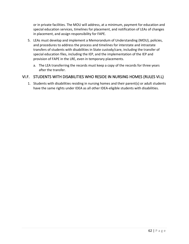or in private facilities. The MOU will address, at a minimum, payment for education and special education services, timelines for placement, and notification of LEAs of changes in placement, and assign responsibility for FAPE.

- 5. LEAs must develop and implement a Memorandum of Understanding (MOU), policies, and procedures to address the process and timelines for interstate and intrastate transfers of students with disabilities in State custody/care, including the transfer of special education files, including the IEP, and the implementation of the IEP and provision of FAPE in the LRE, even in temporary placements.
	- a. The LEA transferring the records must keep a copy of the records for three years after the transfer.

#### VI.F. STUDENTS WITH DISABILITIES WHO RESIDE IN NURSING HOMES (RULES VI.L)

1. Students with disabilities residing in nursing homes and their parent(s) or adult students have the same rights under IDEA as all other IDEA-eligible students with disabilities.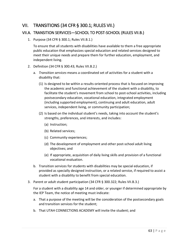## VII. TRANSITIONS (34 CFR § 300.1; RULES VII.)

#### VII.A. TRANSITION SERVICES—SCHOOL TO POST-SCHOOL (RULES VII.B.)

1. Purpose (34 CFR § 300.1; Rules VII.B.1.)

To ensure that all students with disabilities have available to them a free appropriate public education that emphasizes special education and related services designed to meet their unique needs and prepare them for further education, employment, and independent living.

- 2. Definition (34 CFR § 300.43; Rules VII.B.2.)
	- a. *Transition services* means a coordinated set of activities for a student with a disability that:
		- (1) Is designed to be within a results-oriented process that is focused on improving the academic and functional achievement of the student with a disability, to facilitate the student's movement from school to post-school activities, including postsecondary education, vocational education, integrated employment (including supported employment), continuing and adult education, adult services, independent living, or community participation;
		- (2) Is based on the individual student's needs, taking into account the student's strengths, preferences, and interests, and includes:
			- (a) Instruction;
			- (b) Related services;
			- (c) Community experiences;
			- (d) The development of employment and other post-school adult living objectives; and
			- (e) If appropriate, acquisition of daily living skills and provision of a functional vocational evaluation.
	- b. Transition services for students with disabilities may be special education, if provided as specially designed instruction, or a related service, if required to assist a student with a disability to benefit from special education.
- 3. Parent or adult student participation (34 CFR § 300.322; Rules VII.B.3.)

For a student with a disability age 14 and older, or younger if determined appropriate by the IEP Team, the notice of meeting must indicate:

- a. That a purpose of the meeting will be the consideration of the postsecondary goals and transition services for the student;
- b. That UTAH CONNECTIONS ACADEMY will invite the student; and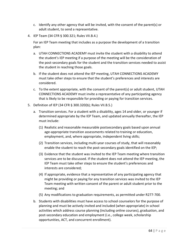- c. Identify any other agency that will be invited, with the consent of the parent(s) or adult student, to send a representative.
- 4. IEP Team (34 CFR § 300.321; Rules VII.B.4.)

For an IEP Team meeting that includes as a purpose the development of a transition plan:

- a. UTAH CONNECTIONS ACADEMY must invite the student with a disability to attend the student's IEP meeting if a purpose of the meeting will be the consideration of the post-secondary goals for the student and the transition services needed to assist the student in reaching those goals.
- b. If the student does not attend the IEP meeting, UTAH CONNECTIONS ACADEMY must take other steps to ensure that the student's preferences and interests are considered.
- c. To the extent appropriate, with the consent of the parent(s) or adult student, UTAH CONNECTIONS ACADEMY must invite a representative of any participating agency that is likely to be responsible for providing or paying for transition services.
- 5. Definition of IEP (34 CFR § 300.320(b); Rules VII.B.5.)
	- a. Transition services. For a student with a disability, ages 14 and older, or younger if determined appropriate by the IEP Team, and updated annually thereafter, the IEP must include:
		- (1) Realistic and reasonable measurable postsecondary goals based upon annual age-appropriate transition assessments related to training or education, employment, and, where appropriate, independent living skills;
		- (2) Transition services, including multi-year courses of study, that will reasonably enable the student to reach the post-secondary goals identified on the IEP;
		- (3) Evidence that the student was invited to the IEP Team meeting where transition services are to be discussed. If the student does not attend the IEP meeting, the IEP Team must take other steps to ensure the student's preferences and interests are considered;
		- (4) If appropriate, evidence that a representative of any participating agency that might be providing or paying for any transition services was invited to the IEP Team meeting with written consent of the parent or adult student prior to the meeting; and
		- (5) Any modifications to graduation requirements, as permitted under R277-700.
	- b. Students with disabilities must have access to school counselors for the purpose of planning and must be actively invited and included (when appropriate) in school activities which address course planning (including online courses), graduation, and post-secondary education and employment (i.e., college week, scholarship opportunities, ACT, and concurrent enrollment).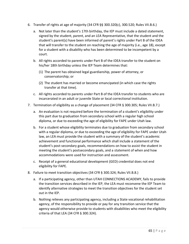- 6. Transfer of rights at age of majority (34 CFR §§ 300.320(c), 300.520; Rules VII.B.6.)
	- a. Not later than the student's 17th birthday, the IEP must include a dated statement, signed by the student, parent, and an LEA Representative, that the student and the student's parent(s) have been informed of parent's rights under Part B of the IDEA that will transfer to the student on reaching the age of majority (i.e., age 18), except for a student with a disability who has been determined to be incompetent by a court.
	- b. All rights accorded to parents under Part B of the IDEA transfer to the student on his/her 18th birthday unless the IEP Team determines that:
		- (1) The parent has obtained legal guardianship, power of attorney, or conservatorship; or
		- (2) The student has married or become emancipated (in which case the rights transfer at that time).
	- c. All rights accorded to parents under Part B of the IDEA transfer to students who are incarcerated in an adult or juvenile State or local correctional institution.
- 7. Termination of eligibility as a change of placement (34 CFR § 300.305; Rules VII.B.7.)
	- a. An evaluation is not required before the termination of a student's eligibility under this part due to graduation from secondary school with a regular high school diploma, or due to exceeding the age of eligibility for FAPE under Utah law.
	- b. For a student whose eligibility terminates due to graduation from secondary school with a regular diploma, or due to exceeding the age of eligibility for FAPE under Utah law, an LEA must provide the student with a summary of the student's academic achievement and functional performance which shall include a statement of the student's post-secondary goals, recommendations on how to assist the student in meeting the student's postsecondary goals, and a statement of when and how accommodations were used for instruction and assessment.
	- c. Receipt of a general educational development (GED) credential does not end eligibility for FAPE.
- 8. Failure to meet transition objectives (34 CFR § 300.324; Rules VII.B.8.)
	- a. If a participating agency, other than UTAH CONNECTIONS ACADEMY, fails to provide the transition services described in the IEP, the LEA must reconvene the IEP Team to identify alternative strategies to meet the transition objectives for the student set out in the IEP.
	- b. Nothing relieves any participating agency, including a State vocational rehabilitation agency, of the responsibility to provide or pay for any transition service that the agency would otherwise provide to students with disabilities who meet the eligibility criteria of that LEA (34 CFR § 300.324).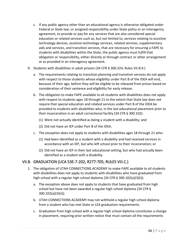- c. If any public agency other than an educational agency is otherwise obligated under Federal or State law, or assigned responsibility under State policy or an interagency agreement, to provide or pay for any services that are also considered special education or related services such as, but not limited to, services relating to assistive technology devices, assistive technology services, related services, supplementary aids and services, and transition services, that are necessary for ensuring a FAPE to students with disabilities within the State, the public agency must fulfill that obligation or responsibility, either directly or through contract or other arrangement or as provided in an interagency agreement.
- 9. Students with disabilities in adult prisons (34 CFR § 300.324; Rules VII.B.9.)
	- a. The requirements relating to transition planning and transition services do not apply with respect to those students whose eligibility under Part B of the IDEA will end, because of their age, before they will be eligible to be released from prison based on consideration of their sentence and eligibility for early release.
	- b. The obligation to make FAPE available to all students with disabilities does not apply with respect to students ages 18 through 21 to the extent that State law does not require that special education and related services under Part B of the IDEA be provided to students with disabilities who, in the last educational placement prior to their incarceration in an adult correctional facility (34 CFR § 300.102):
		- (1) Were not actually identified as being a student with a disability; and
		- (2) Did not have an IEP under Part B of the IDEA.
	- c. The exception does not apply to students with disabilities ages 18 through 21 who:
		- (1) Had been identified as a student with a disability and had received services in accordance with an IEP, but who left school prior to their incarceration; or
		- (2) Did not have an IEP in their last educational setting, but who had actually been identified as a student with a disability.

#### VII.B. GRADUATION (UCA 53E-7-202; R277-705; RULES VIII.C.)

- 1. The obligation of UTAH CONNECTIONS ACADEMY to make FAPE available to all students with disabilities does not apply to students with disabilities who have graduated from high school with a regular high school diploma (34 CFR § 300.102(a)(3)(i)).
	- a. The exception above does not apply to students that have graduated from high school but have not been awarded a regular high school diploma (34 CFR § 300.102(a)(3)(ii)).
	- b. UTAH CONNECTIONS ACADEMY may not withhold a regular high school diploma from a student who has met State or LEA graduation requirements.
	- c. Graduation from high school with a regular high school diploma constitutes a change in placement, requiring prior written notice that must contain all the requirements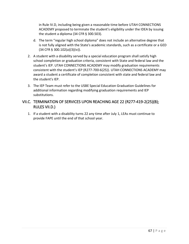in Rule IV.D, including being given a reasonable time before UTAH CONNECTIONS ACADEMY proposed to terminate the student's eligibility under the IDEA by issuing the student a diploma (34 CFR § 300.503).

- d. The term "regular high school diploma" does not include an alternative degree that is not fully aligned with the State's academic standards, such as a certificate or a GED (34 CFR § 300.102(a)(3)(iv)).
- 2. A student with a disability served by a special education program shall satisfy high school completion or graduation criteria, consistent with State and federal law and the student's IEP. UTAH CONNECTIONS ACADEMY may modify graduation requirements consistent with the student's IEP (R277-700-6(25)). UTAH CONNECTIONS ACADEMY may award a student a certificate of completion consistent with state and federal law and the student's IEP.
- 3. The IEP Team must refer to the USBE Special Education Graduation Guidelines for additional information regarding modifying graduation requirements and IEP substitutions.

### VII.C. TERMINATION OF SERVICES UPON REACHING AGE 22 (R277-419-2(25)(B); RULES VII.D.)

1. If a student with a disability turns 22 any time after July 1, LEAs must continue to provide FAPE until the end of that school year.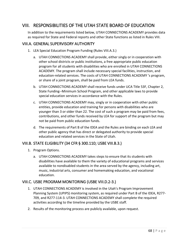# VIII. RESPONSIBILITIES OF THE UTAH STATE BOARD OF EDUCATION

In addition to the requirements listed below, UTAH CONNECTIONS ACADEMY provides data as required for State and Federal reports and other State functions as listed in Rules VIII.

#### VIII.A. GENERAL SUPERVISORY AUTHORITY

- 1. LEA Special Education Program Funding (Rules VIII.A.3.)
	- a. UTAH CONNECTIONS ACADEMY shall provide, either singly or in cooperation with other school districts or public institutions, a free appropriate public education program for all students with disabilities who are enrolled in UTAH CONNECTIONS ACADEMY. The program shall include necessary special facilities, instruction, and education-related services. The costs of UTAH CONNECTIONS ACADEMY 's program, or share of a joint program, shall be paid from LEA funds.
	- b. UTAH CONNECTIONS ACADEMY shall receive funds under UCA Title 53F, Chapter 2, State Funding--Minimum School Program, and other applicable laws to provide special education services in accordance with the Rules.
	- c. UTAH CONNECTIONS ACADEMY may, singly or in cooperation with other public entities, provide education and training for persons with disabilities who are younger than 3 or older than 22. The cost of such a program may be paid from fees, contributions, and other funds received by LEA for support of the program but may not be paid from public education funds.
	- d. The requirements of Part B of the IDEA and the Rules are binding on each LEA and other public agency that has direct or delegated authority to provide special education and related services in the State of Utah.

#### VIII.B. STATE ELIGIBILITY (34 CFR § 300.110; USBE VIII.B.3.)

- 1. Program Options.
	- a. UTAH CONNECTIONS ACADEMY takes steps to ensure that its students with disabilities have available to them the variety of educational programs and services available to nondisabled students in the area served by the agency, including art, music, industrial arts, consumer and homemaking education, and vocational education.

#### VIII.C. USBE PROGRAM MONITORING (USBE VIII.D.2-3.)

- 1. UTAH CONNECTIONS ACADEMY is involved in the Utah's Program Improvement Planning System (UPIPS) monitoring system, as required under Part B of the IDEA, R277- 709, and R277-114-3. UTAH CONNECTIONS ACADEMY shall complete the required activities according to the timeline provided by the USBE staff.
- 2. Results of the monitoring process are publicly available, upon request.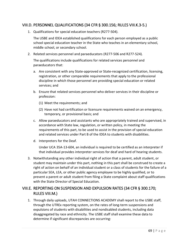### VIII.D. PERSONNEL QUALIFICATIONS (34 CFR § 300.156; RULES VIII.K.3-5.)

1. Qualifications for special education teachers (R277-504).

The USBE and IDEA established qualifications for each person employed as a public school special education teacher in the State who teaches in an elementary school, middle school, or secondary school.

2. Related services personnel and paraeducators (R277-506 and R277-524).

The qualifications include qualifications for related services personnel and paraeducators that:

- a. Are consistent with any State-approved or State-recognized certification, licensing, registration, or other comparable requirements that apply to the professional discipline in which those personnel are providing special education or related services; and
- b. Ensure that related services personnel who deliver services in their discipline or profession:
	- (1) Meet the requirements; and
	- (2) Have not had certification or licensure requirements waived on an emergency, temporary, or provisional basis; and
- c. Allow paraeducators and assistants who are appropriately trained and supervised, in accordance with State law, regulation, or written policy, in meeting the requirements of this part, to be used to assist in the provision of special education and related services under Part B of the IDEA to students with disabilities.
- d. Interpreters for the Deaf.

Under UCA 35A-13-604, an individual is required to be certified as an interpreter if that individual provides interpreter services for deaf and hard of hearing students.

3. Notwithstanding any other individual right of action that a parent, adult student, or student may maintain under this part, nothing in this part shall be construed to create a right of action on behalf of an individual student or a class of students for the failure of a particular SEA, LEA, or other public agency employee to be highly qualified, or to prevent a parent or adult student from filing a State complaint about staff qualifications with the State Director of Special Education.

## VIII.E. REPORTING ON SUSPENSION AND EXPULSION RATES (34 CFR § 300.170; RULES VIII.M.)

1. Through daily uploads, UTAH CONNECTIONS ACADEMY shall report to the USBE staff, through the UTREx reporting system, on the rates of long-term suspensions and expulsions of students with disabilities and nondisabled students, including data disaggregated by race and ethnicity. The USBE staff shall examine these data to determine if significant discrepancies are occurring: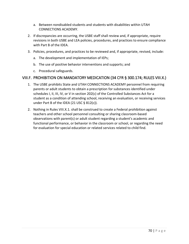- a. Between nondisabled students and students with disabilities within UTAH CONNECTIONS ACADEMY.
- 2. If discrepancies are occurring, the USBE staff shall review and, if appropriate, require revisions in both USBE and LEA policies, procedures, and practices to ensure compliance with Part B of the IDEA.
- 3. Policies, procedures, and practices to be reviewed and, if appropriate, revised, include:
	- a. The development and implementation of IEPs;
	- b. The use of positive behavior interventions and supports; and
	- c. Procedural safeguards.

#### VIII.F. PROHIBITION ON MANDATORY MEDICATION (34 CFR § 300.174; RULES VIII.X.)

- 1. The USBE prohibits State and UTAH CONNECTIONS ACADEMY personnel from requiring parents or adult students to obtain a prescription for substances identified under schedules I, II, III, IV, or V in section 202(c) of the Controlled Substances Act for a student as a condition of attending school, receiving an evaluation, or receiving services under Part B of the IDEA (21 USC  $\S$  812(c)).
- 2. Nothing in Rules VIII.X.1. shall be construed to create a Federal prohibition against teachers and other school personnel consulting or sharing classroom-based observations with parent(s) or adult student regarding a student's academic and functional performance, or behavior in the classroom or school, or regarding the need for evaluation for special education or related services related to child find.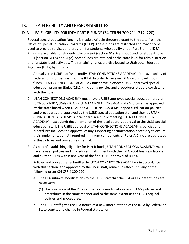# IX. LEA ELIGIBILITY AND RESPONSIBILITIES

## IX.A. LEA ELIGIBILITY FOR IDEA PART B FUNDS (34 CFR §§ 300.211–212, 220)

Federal special education funding is made available through a grant to the state from the Office of Special Education Programs (OSEP). These funds are restricted and may only be used to provide services and program for students who qualify under Part B of the IDEA. Funds are available for students who are 3–5 (section 619 Preschool) and for students age 3–21 (section 611 School-Age). Some funds are retained at the state level for administration and for state level activities. The remaining funds are distributed to Utah Local Education Agencies (LEAs) by formula.

- 1. Annually, the USBE staff shall notify UTAH CONNECTIONS ACADEMY of the availability of Federal funds under Part B of the IDEA. In order to receive IDEA Part B flow-through funds, UTAH CONNECTIONS ACADEMY must have in effect a USBE-approved special education program (Rules X.B.2.), including policies and procedures that are consistent with the Rules.
- 2. UTAH CONNECTIONS ACADEMY must have a USBE-approved special education program (UCA 53F-2-307; (Rules IX.A.2). UTAH CONNECTIONS ACADEMY 's program is approved by the state board when UTAH CONNECTIONS ACADEMY 's special education policies and procedures are approved by the USBE special education staff and then by UTAH CONNECTIONS ACADEMY 's local board in a public meeting. UTAH CONNECTIONS ACADEMY must submit documentation of the local board's approval to the USBE special education staff. The USBE approval of UTAH CONNECTIONS ACADEMY 's policies and procedures includes the approval of any supporting documentation necessary to ensure their implementation. All required minimum components of Rules A.2.a-e are addressed in this policies and procedures manual.
- 3. As part of establishing eligibility for Part B funds, UTAH CONNECTIONS ACADEMY must have revised policies and procedures in alignment with the IDEA 2004 final regulations and current Rules within one year of the final USBE approval of Rules.
- 4. Policies and procedures submitted by UTAH CONNECTIONS ACADEMY in accordance with this section, and approved by the USBE staff, remain in effect until any of the following occur (34 CFR § 300.220):
	- a. The LEA submits modifications to the USBE staff that the SEA or LEA determines are necessary;
		- (1) The provisions of the Rules apply to any modifications in an LEA's policies and procedures in the same manner and to the same extent as the LEA's original policies and procedures.
	- b. The USBE staff gives the LEA notice of a new interpretation of the IDEA by Federal or State courts, or a change in Federal statute; or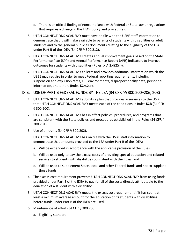- c. There is an official finding of noncompliance with Federal or State law or regulations that requires a change in the LEA's policy and procedures.
- 5. UTAH CONNECTIONS ACADEMY must have on file with the USBE staff information to demonstrate that it will make available to parents of students with disabilities or adult students and to the general public all documents relating to the eligibility of the LEA under Part B of the IDEA (34 CFR § 300.212).
- 6. UTAH CONNECTIONS ACADEMY creates annual improvement goals based on the State Performance Plan (SPP) and Annual Performance Report (APR) Indicators to improve outcomes for students with disabilities (Rules IX.A.2.d(2)(r)).
- 7. UTAH CONNECTIONS ACADEMY collects and provides additional information which the USBE may require in order to meet Federal reporting requirements, including suspension and expulsion rates, LRE environments, disproportionality data, personnel information, and others (Rules IX.A.2.e).

#### IX.B. USE OF PART B FEDERAL FUNDS BY THE LEA (34 CFR §§ 300.200–206, 208)

- 1. UTAH CONNECTIONS ACADEMY submits a plan that provides assurances to the USBE that UTAH CONNECTIONS ACADEMY meets each of the conditions in Rules IX.B (34 CFR § 300.200).
- 2. UTAH CONNECTIONS ACADEMY has in effect policies, procedures, and programs that are consistent with the State policies and procedures established in the Rules (34 CFR § 300.201).
- 3. Use of amounts (34 CFR § 300.202).

UTAH CONNECTIONS ACADEMY has on file with the USBE staff information to demonstrate that amounts provided to the LEA under Part B of the IDEA:

- a. Will be expended in accordance with the applicable provision of the Rules.
- b. Will be used only to pay the excess costs of providing special education and related services to students with disabilities consistent with the Rules; and
- c. Will be used to supplement State, local, and other Federal funds and not to supplant those funds.
- 4. The excess cost requirement prevents UTAH CONNECTIONS ACADEMY from using funds provided under Part B of the IDEA to pay for all of the costs directly attributable to the education of a student with a disability.
- 5. UTAH CONNECTIONS ACADEMY meets the excess cost requirement if it has spent at least a minimum average amount for the education of its students with disabilities before funds under Part B of the IDEA are used.
- 6. Maintenance of effort (34 CFR § 300.203).
	- a. Eligibility standard.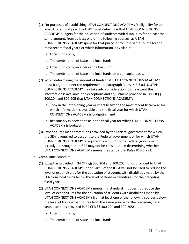- (1) For purposes of establishing UTAH CONNECTIONS ACADEMY 's eligibility for an award for a fiscal year, the USBE must determine that UTAH CONNECTIONS ACADEMY budgets for the education of students with disabilities for at least the same amount, from at least one of the following sources, as UTAH CONNECTIONS ACADEMY spent for that purpose from the same source for the most recent fiscal year f or which information is available:
	- (a) Local funds only;
	- (b) The combination of State and local funds;
	- (c) Local funds only on a per capita basis; or
	- (d) The combination of State and local funds on a per capita basis.
- (2) When determining the amount of funds that UTAH CONNECTIONS ACADEMY must budget to meet the requirement in paragraph Rules IX.B.6.a.(1), UTAH CONNECTIONS ACADEMY may take into consideration, to the extent the information is available, the exceptions and adjustment provided in 34 CFR §§ 300.204 and 300.205 that UTAH CONNECTIONS ACADEMY:
	- (a) Took in the intervening year or years between the most recent fiscal year for which information is available and the fiscal year for which UTAH CONNECTIONS ACADEMY is budgeting; and
	- (b) Reasonably expects to take in the fiscal year for which UTAH CONNECTIONS ACADEMY is budgeting.
- (3) Expenditures made from funds provided by the Federal government for which the SEA is required to account to the Federal government or for which UTAH CONNECTIONS ACADEMY is required to account to the Federal government directly or through the USBE may not be considered in determining whether UTAH CONNECTIONS ACADEMY meets the standard in Rules IX.B.6.a.(1).
- b. Compliance standard.
	- (1) Except as provided in 34 CFR §§ 300.204 and 300.205, funds provided to UTAH CONNECTIONS ACADEMY under Part B of the IDEA will not be used to reduce the level of expenditures for the education of students with disabilities made by the LEA from local funds below the level of those expenditures for the preceding fiscal year.
	- (2) UTAH CONNECTIONS ACADEMY meets this standard if it does not reduce the level of expenditures for the education of students with disabilities made by UTAH CONNECTIONS ACADEMY from at least one of the following sources below the level of those expenditures from the same source for the preceding fiscal year, except as provided in 34 CFR §§ 300.204 and 300.205:
		- (a) Local funds only;
		- (b) The combination of State and local funds;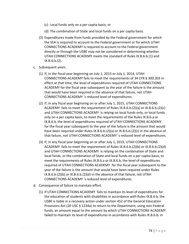- (c) Local funds only on a per capita basis; or
- (d) The combination of State and local funds on a per capita basis.
- (3) Expenditures made from funds provided by the Federal government for which the SEA is required to account to the Federal government or for which UTAH CONNECTIONS ACADEMY is required to account to the Federal government directly or through the USBE may not be considered in determining whether UTAH CONNECTIONS ACADEMY meets the standard of Rules IX.B.6.b.(1) and IX.B.6.b.(2).
- c. Subsequent years.
	- (1) If, in the fiscal year beginning on July 1, 2013 or July 1, 2014, UTAH CONNECTIONS ACADEMY fails to meet the requirements of 34 CFR § 300.203 in effect at that time, the level of expenditures required of UTAH CONNECTIONS ACADEMY for the fiscal year subsequent to the year of the failure is the amount that would have been required in the absence of that failure, not UTAH CONNECTIONS ACADEMY 's reduced level of expenditures.
	- (2) If, in any fiscal year beginning on or after July 1, 2015, UTAH CONNECTIONS ACADEMY fails to meet the requirement of Rules IX.B.6.b.(2)(a) or IX.B.6.b.(2)(c) and UTAH CONNECTIONS ACADEMY is relying on local funds only, or local funds only on a per capita basis, to meet the requirements of the Rules IX.B.6.a or IX.B.6.b, the level of expenditures required of UTAH CONNECTIONS ACADEMY for the fiscal year subsequent to the year of the failure is the amount that would have been required under Rules IX.B.6.b.(2)(a) or IX.B.6.b.(2)(c) in the absence of that failure, not UTAH CONNECTIONS ACADEMY 's reduced level of expenditures.
	- (3) If, in any fiscal year beginning on or after July 1, 2015, UTAH CONNECTIONS ACADEMY fails to meet the requirement of Rules IX.B.6.b.(2)(b) or IX.B.6.b.(2)(d) and UTAH CONNECTIONS ACADEMY is relying on the combination of State and local funds, or the combination of State and local funds on a per capita basis, to meet the requirements of Rules IX.B.6.a or IX.B.6.b, the level of expenditures required of UTAH CONNECTIONS ACADEMY for the fiscal year subsequent to the year of the failure is the amount that would have been required under Rules IX.B.6.b.(2)(b) or IX.B.6.b.(2)(d) in the absence of that failure, not UTAH CONNECTIONS ACADEMY 's reduced level of expenditures.
- d. Consequence of failure to maintain effort.
	- (1) If UTAH CONNECTIONS ACADEMY fails to maintain its level of expenditures for the education of students with disabilities in accordance with Rules IX.B.6.b, the USBE is liable in a recovery action under section 452 of the General Education Provisions Act (20 USC § 1234a) to return to the Department, using non-Federal funds, an amount equal to the amount by which UTAH CONNECTIONS ACADEMY failed to maintain its level of expenditures in accordance with Rules IX.B.6.b. in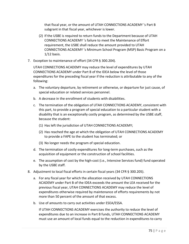that fiscal year, or the amount of UTAH CONNECTIONS ACADEMY 's Part B subgrant in that fiscal year, whichever is lower.

- (2) If the USBE is required to return funds to the Department because of UTAH CONNECTIONS ACADEMY 's failure to meet the Maintenance of Effort requirement, the USBE shall reduce the amount provided to UTAH CONNECTIONS ACADEMY 's Minimum School Program (MSP) Basic Program on a 1/12 basis.
- 7. Exception to maintenance of effort (34 CFR § 300.204).

UTAH CONNECTIONS ACADEMY may reduce the level of expenditures by UTAH CONNECTIONS ACADEMY under Part B of the IDEA below the level of those expenditures for the preceding fiscal year if the reduction is attributable to any of the following:

- a. The voluntary departure, by retirement or otherwise, or departure for just cause, of special education or related services personnel.
- b. A decrease in the enrollment of students with disabilities.
- c. The termination of the obligation of UTAH CONNECTIONS ACADEMY, consistent with this part, to provide a program of special education to a particular student with a disability that is an exceptionally costly program, as determined by the USBE staff, because the student:
	- (1) Has left the jurisdiction of UTAH CONNECTIONS ACADEMY;
	- (2) Has reached the age at which the obligation of UTAH CONNECTIONS ACADEMY to provide a FAPE to the student has terminated; or
	- (3) No longer needs the program of special education.
- d. The termination of costly expenditures for long-term purchases, such as the acquisition of equipment or the construction of school facilities.
- e. The assumption of cost by the high-cost (i.e., Intensive Services fund) fund operated by the USBE staff.
- 8. Adjustment to local fiscal efforts in certain fiscal years (34 CFR § 300.205).
	- a. For any fiscal year for which the allocation received by UTAH CONNECTIONS ACADEMY under Part B of the IDEA exceeds the amount the LEA received for the previous fiscal year, UTAH CONNECTIONS ACADEMY may reduce the level of expenditures otherwise required by maintenance of efforts requirements by not more than 50 percent of the amount of that excess.
	- b. Use of amounts to carry out activities under ESEA/ESSA.

If UTAH CONNECTIONS ACADEMY exercises the authority to reduce the level of expenditures due to an increase in Part B funds, UTAH CONNECTIONS ACADEMY must use an amount of local funds equal to the reduction in expenditures to carry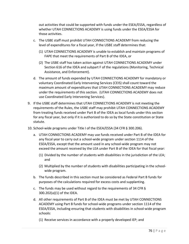out activities that could be supported with funds under the ESEA/ESSA, regardless of whether UTAH CONNECTIONS ACADEMY is using funds under the ESEA/ESSA for those activities.

- c. The USBE staff must prohibit UTAH CONNECTIONS ACADEMY from reducing the level of expenditures for a fiscal year, if the USBE staff determines that:
	- (1) UTAH CONNECTIONS ACADEMY is unable to establish and maintain programs of FAPE that meet the requirements of Part B of the IDEA, or
	- (2) The USBE staff has taken action against UTAH CONNECTIONS ACADEMY under Section 616 of the IDEA and subpart F of the regulations (Monitoring, Technical Assistance, and Enforcement).
- d. The amount of funds expended by UTAH CONNECTIONS ACADEMY for mandatory or voluntary Coordinated Early Intervening Services (CEIS) shall count toward the maximum amount of expenditures that UTAH CONNECTIONS ACADEMY may reduce under the requirements of this section. (UTAH CONNECTIONS ACADEMY does not use Coordinated Early Intervening Services).
- 9. If the USBE staff determines that UTAH CONNECTIONS ACADEMY is not meeting the requirements of the Rules, the USBE staff may prohibit UTAH CONNECTIONS ACADEMY from treating funds received under Part B of the IDEA as local funds under this section for any fiscal year, but only if it is authorized to do so by the State constitution or State statute.
- 10. School-wide programs under Title I of the ESEA/ESSA (34 CFR § 300.206).
	- a. UTAH CONNECTIONS ACADEMY may use funds received under Part B of the IDEA for any fiscal year to carry out a school-wide program under section 1114 of the ESEA/ESSA, except that the amount used in any school-wide program may not exceed the amount received by the LEA under Part B of the IDEA for that fiscal year:
		- (1) Divided by the number of students with disabilities in the jurisdiction of the LEA; and
		- (2) Multiplied by the number of students with disabilities participating in the schoolwide program.
	- b. The funds described in this section must be considered as Federal Part B funds for purposes of the calculations required for excess costs and supplanting.
	- c. The funds may be used without regard to the requirements of 34 CFR § 300.202(a)(1) of the IDEA.
	- d. All other requirements of Part B of the IDEA must be met by UTAH CONNECTIONS ACADEMY using Part B funds for school-wide programs under section 1114 of the ESEA/ESSA, including ensuring that students with disabilities in school-wide program schools:
		- (1) Receive services in accordance with a properly developed IEP; and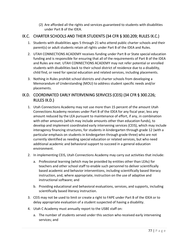(2) Are afforded all the rights and services guaranteed to students with disabilities under Part B of the IDEA.

### IX.C. CHARTER SCHOOLS AND THEIR STUDENTS (34 CFR § 300.209; RULES IX.C.)

- 1. Students with disabilities ages 5 through 21 who attend public charter schools and their parent(s) or adult students retain all rights under Part B of the IDEA and Rules.
- 2. UTAH CONNECTIONS ACADEMY receives funding under Part B or State special education funding and is responsible for ensuring that all of the requirements of Part B of the IDEA and Rules are met. UTAH CONNECTIONS ACADEMY may not refer potential or enrolled students with disabilities back to their school district of residence due to a disability, child find, or need for special education and related services, including placements.
- 3. Nothing in Rules prohibit school districts and charter schools from developing a Memorandum of Understanding (MOU) to address student specific needs and/or placements.

# IX.D. COORDINATED EARLY INTERVENING SERVICES (CEIS) (34 CFR § 300.226; RULES IX.D.)

- 1. Utah Connections Academy may not use more than 15 percent of the amount Utah Connections Academy receives under Part B of the IDEA for any fiscal year, less any amount reduced by the LEA pursuant to maintenance of effort, if any, in combination with other amounts (which may include amounts other than education funds), to develop and implement coordinated early intervening services (CEIS), which may include interagency financing structures, for students in kindergarten through grade 12 (with a particular emphasis on students in kindergarten through grade three) who are not currently identified as needing special education or related services, but who need additional academic and behavioral support to succeed in a general education environment.
- 2. In implementing CEIS, Utah Connections Academy may carry out activities that include:
	- a. Professional learning (which may be provided by entities other than LEAs) for teachers and other school staff to enable such personnel to deliver scientifically based academic and behavior interventions, including scientifically based literacy instruction, and, where appropriate, instruction on the use of adaptive and instructional software; and
	- b. Providing educational and behavioral evaluations, services, and supports, including scientifically based literacy instruction.
- 3. CEIS may not be used to limit or create a right to FAPE under Part B of the IDEA or to delay appropriate evaluation of a student suspected of having a disability.
- 4. Utah C Academy must annually report to the USBE staff on:
	- a. The number of students served under this section who received early intervening services; and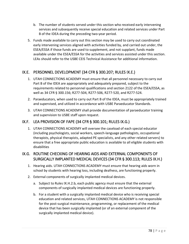- b. The number of students served under this section who received early intervening services and subsequently receive special education and related services under Part B of the IDEA during the preceding two-year period.
- 5. Funds made available to carry out this section may be used to carry out coordinated early intervening services aligned with activities funded by, and carried out under, the ESEA/ESSA if those funds are used to supplement, and not supplant, funds made available under the ESEA/ESSA for the activities and services assisted under this section. LEAs should refer to the USBE CEIS Technical Assistance for additional information.

# IX.E. PERSONNEL DEVELOPMENT (34 CFR § 300.207; RULES IX.E.)

- 1. UTAH CONNECTIONS ACADEMY must ensure that all personnel necessary to carry out Part B of the IDEA are appropriately and adequately prepared, subject to the requirements related to personnel qualifications and section 2122 of the ESEA/ESSA, as well as 34 CFR § 300.156; R277-504, R277-506, R277-520, and R277-524.
- 2. Paraeducators, when used to carry out Part B of the IDEA, must be appropriately trained and supervised, and utilized in accordance with USBE Paraeducator Standards.
- 3. UTAH CONNECTIONS ACADEMY shall provide documentation of paraeducator training and supervision to USBE staff upon request.

### IX.F. LEA PROVISION OF FAPE (34 CFR § 300.101; RULES IX.G.)

1. UTAH CONNECTIONS ACADEMY will oversee the caseload of each special educator (including psychologists, social workers, speech-language pathologists, occupational therapists, physical therapists, adapted PE specialists, and any other related servers) to ensure that a free appropriate public education is available to all eligible students with disabilities

# IX.G. ROUTINE CHECKING OF HEARING AIDS AND EXTERNAL COMPONENTS OF SURGICALLY IMPLANTED MEDICAL DEVICES (34 CFR § 300.113; RULES IX.H.)

- 1. Hearing aids. UTAH CONNECTIONS ACADEMY must ensure that hearing aids worn in school by students with hearing loss, including deafness, are functioning properly.
- 2. External components of surgically implanted medical devices.
	- a. Subject to Rules IX.H.2.b, each public agency must ensure that the external components of surgically implanted medical devices are functioning properly.
	- b. For a student with a surgically implanted medical device who is receiving special education and related services, UTAH CONNECTIONS ACADEMY is not responsible for the post-surgical maintenance, programming, or replacement of the medical device that has been surgically implanted (or of an external component of the surgically implanted medical device).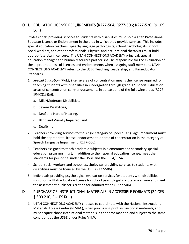# IX.H. EDUCATOR LICENSE REQUIREMENTS (R277-504; R277-506; R277-520; RULES  $IX.I.$

Professionals providing services to students with disabilities must hold a Utah Professional Educator License or Endorsement in the area in which they provide services. This includes special education teachers, speech/language pathologists, school psychologists, school social workers, and other professionals. Physical and occupational therapists must hold appropriate Utah licensure. The UTAH CONNECTIONS ACADEMY principal, special education manager and human resources partner shall be responsible for the evaluation of the appropriateness of licenses and endorsements when assigning staff members. UTAH CONNECTIONS ACADEMY refers to the USBE Teaching, Leadership, and Paraeducator Standards.

- 1. *Special Education (K–12) License* area of concentration means the license required for teaching students with disabilities in kindergarten through grade 12. Special Education areas of concentration carry endorsements in at least one of the following areas (R277- 504-2(13)(a)):
	- a. Mild/Moderate Disabilities,
	- b. Severe Disabilities,
	- c. Deaf and Hard of Hearing,
	- d. Blind and Visually Impaired, and
	- e. Deafblind.
- 2. Teachers providing services to the single category of Speech Language Impairment must hold the appropriate license, endorsement, or area of concentration in the category of Speech Language Impairment (R277-506).
- 3. Teachers assigned to teach academic subjects in elementary and secondary special education programs must, in addition to their special education license, meet the standards for personnel under the USBE and the ESEA/ESSA.
- 4. School social workers and school psychologists providing services to students with disabilities must be licensed by the USBE (R277-506).
- 5. Individuals providing psychological evaluation services for students with disabilities must hold a Utah education license for school psychologists or State licensure and meet the assessment publisher's criteria for administration (R277-506).

#### IX.I. PURCHASE OF INSTRUCTIONAL MATERIALS IN ACCESSIBLE FORMATS (34 CFR § 300.210; RULES IX.J.)

1. UTAH CONNECTIONS ACADEMY chooses to coordinate with the National Instructional Materials Access Center (NIMAC), when purchasing print instructional materials, and must acquire those instructional materials in the same manner, and subject to the same conditions as the USBE under Rules VIII.W.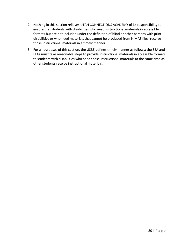- 2. Nothing in this section relieves UTAH CONNECTIONS ACADEMY of its responsibility to ensure that students with disabilities who need instructional materials in accessible formats but are not included under the definition of blind or other persons with print disabilities or who need materials that cannot be produced from NIMAS files, receive those instructional materials in a timely manner.
- 3. For all purposes of this section, the USBE defines timely manner as follows: the SEA and LEAs must take reasonable steps to provide instructional materials in accessible formats to students with disabilities who need those instructional materials at the same time as other students receive instructional materials.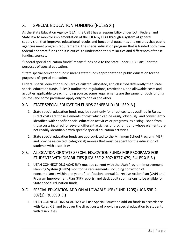# X. SPECIAL EDUCATION FUNDING (RULES X.)

As the State Education Agency (SEA), the USBE has a responsibility under both Federal and State law to monitor implementation of the IDEA by LEAs through a system of general supervision that improves educational results and functional outcomes and ensures that public agencies meet program requirements. The special education program that is funded both from federal and state funds and it is critical to understand the similarities and differences of these funding sources.

"Federal special education funds" means funds paid to the State under IDEA Part B for the purposes of special education.

"State special education funds" means state funds appropriated to public education for the purposes of special education.

Federal special education funds are calculated, allocated, and classified differently than state special education funds. Rules X outline the regulations, restrictions, and allowable costs and activities applicable to each funding source; some requirements are the same for both funding sources and some provisions apply only to one or the other.

# X.A. STATE SPECIAL EDUCATION FUNDS GENERALLY (RULES X.A.)

- 1. State special education funds may be spent only for direct costs, as outlined in Rules. Direct costs are those elements of cost which can be easily, obviously, and conveniently identified with specific special education activities or programs, as distinguished from those costs incurred for several different activities or programs and whose elements are not readily identifiable with specific special education activities.
- 2. State special education funds are appropriated to the Minimum School Program (MSP) and provide restricted (categorical) monies that must be spent for the education of students with disabilities.

# X.B. ALLOCATION OF STATE SPECIAL EDUCATION FUNDS FOR PROGRAMS FOR STUDENTS WITH DISABILITIES (UCA 53F-2-307; R277-479; RULES X.B.3.)

1. UTAH CONNECTIONS ACADEMY must be current with the Utah Program Improvement Planning System (UPIPS) monitoring requirements, including correction of noncompliance within one year of notification, annual Corrective Action Plan (CAP) and Program Improvement Plan (PIP) reports, and desk audit submissions to be eligible for State special education funds.

# X.C. SPECIAL EDUCATION ADD-ON ALLOWABLE USE (FUND 1205) (UCA 53F-2- 307(1); RULES X.C.)

1. UTAH CONNECTIONS ACADEMY will use Special Education add-on funds in accordance with Rules X.B. and to cover the direct costs of providing special education to students with disabilities.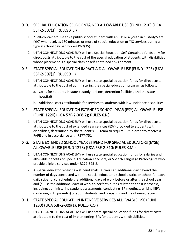### X.D. SPECIAL EDUCATION SELF-CONTAINED ALLOWABLE USE (FUND 1210) (UCA 53F-2-307(3); RULES X.E.)

- 1. "Self-contained" means a public-school student with an IEP or a youth in custody/care (YIC) who receives 180 minutes or more of special education or YIC services during a typical school day per R277-419-2(35).
- 2. UTAH CONNECTIONS ACADEMY will use Special Education Self-Contained funds only for direct costs attributable to the cost of the special education of students with disabilities whose placement is a special class or self-contained environment.

#### X.E. STATE SPECIAL EDUCATION IMPACT AID ALLOWABLE USE (FUND 1225) (UCA 53F-2-307(1); RULES X.I.)

- 1. UTAH CONNECTIONS ACADEMY will use state special education funds for direct costs attributable to the cost of administering the special education program as follows:
	- a. Costs for students in state custody (prisons, detention facilities, and the state hospital)
	- b. Additional costs attributable for services to students with low-incidence disabilities

### X.F. STATE SPECIAL EDUCATION EXTENDED SCHOOL YEAR (ESY) ALLOWABLE USE (FUND 1220) (UCA 53F-2-308(2); RULES X.K.)

1. UTAH CONNECTIONS ACADEMY will use state special education funds for direct costs attributable to the cost of extended year services (ESY) provided to students with disabilities, determined by the student's IEP team to require ESY in order to receive a FAPE and in accordance with R277-751.

# X.G. STATE EXTENDED SCHOOL YEAR STIPEND FOR SPECIAL EDUCATORS (EYSE) ALLOWABLE USE (FUND 1278) (UCA 53F-2-310; RULES X.M.)

- 1. UTAH CONNECTIONS ACADEMY will use state special education funds for salaries and allowable benefits of Special Education Teachers, or Speech Language Pathologists who provide eligible services under R277-525-2.
- 2. A special educator receiving a stipend shall: (a) work an additional day beyond the number of days contracted with the special educator's school district or school for each daily stipend; (b) schedule the additional days of work before or after the school year; and (c) use the additional days of work to perform duties related to the IEP process, including: administering student assessments, conducting IEP meetings, writing IEP's, conferring with parent(s) or adult students, and preparing and maintaining records.

### X.H. STATE SPECIAL EDUCATION INTENSIVE SERVICES ALLOWABLE USE (FUND 1230) (UCA 53F-2-309(1); RULES X.O.)

1. UTAH CONNECTIONS ACADEMY will use state special education funds for direct costs attributable to the cost of implementing IEPs for students with disabilities.